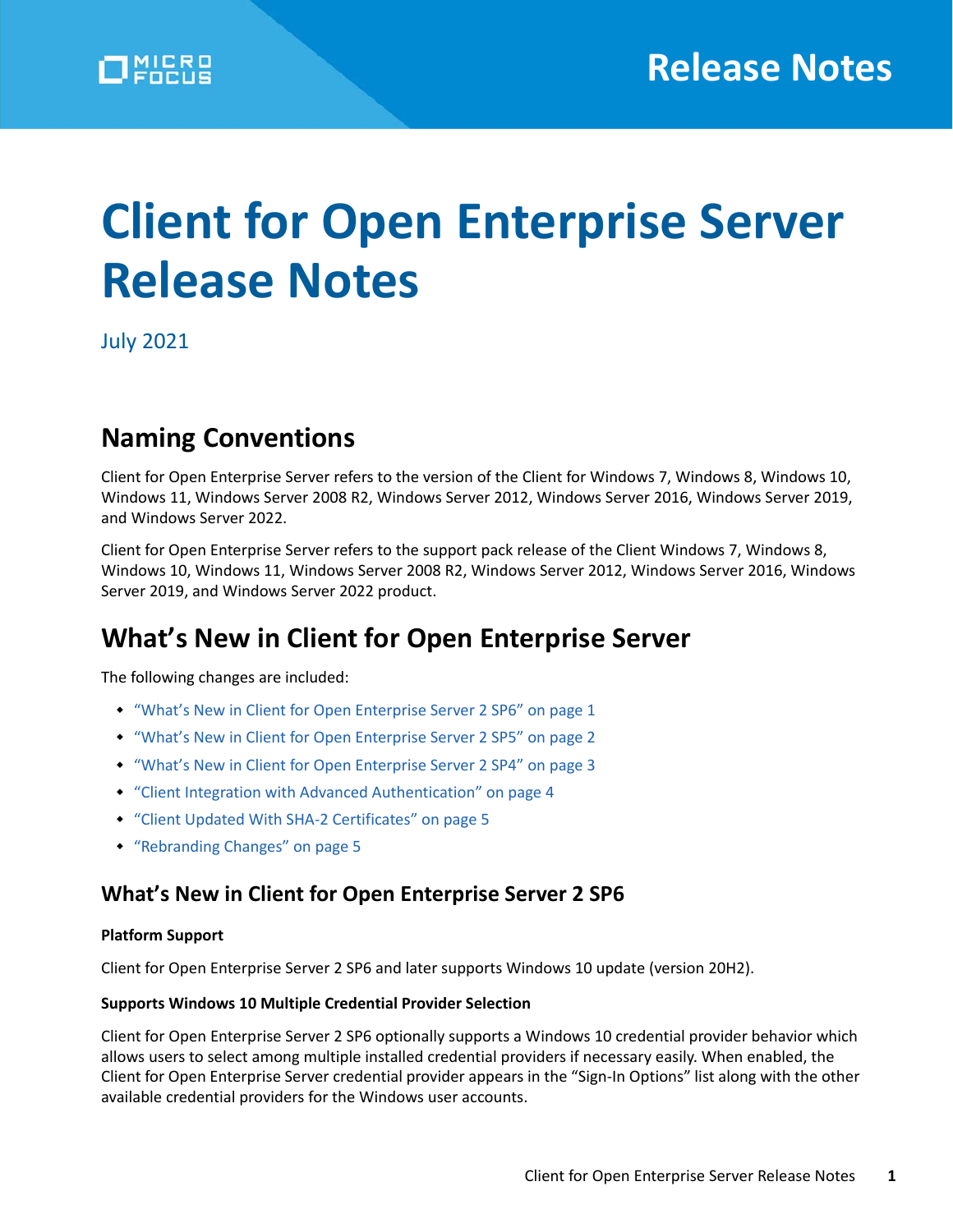# **Client for Open Enterprise Server Release Notes**

July 2021

# **Naming Conventions**

Client for Open Enterprise Server refers to the version of the Client for Windows 7, Windows 8, Windows 10, Windows 11, Windows Server 2008 R2, Windows Server 2012, Windows Server 2016, Windows Server 2019, and Windows Server 2022.

Client for Open Enterprise Server refers to the support pack release of the Client Windows 7, Windows 8, Windows 10, Windows 11, Windows Server 2008 R2, Windows Server 2012, Windows Server 2016, Windows Server 2019, and Windows Server 2022 product.

# **What's New in Client for Open Enterprise Server**

The following changes are included:

- ["What's New in Client for Open Enterprise Server 2 SP6" on page](#page-0-0) 1
- ["What's New in Client for Open Enterprise Server 2 SP5" on page](#page-1-0) 2
- ["What's New in Client for Open Enterprise Server 2 SP4" on page](#page-2-0) 3
- ["Client Integration with Advanced Authentication" on page 4](#page-3-0)
- ["Client Updated With SHA-2 Certificates" on page 5](#page-4-0)
- ["Rebranding Changes" on page 5](#page-4-1)

#### <span id="page-0-0"></span>**What's New in Client for Open Enterprise Server 2 SP6**

#### **Platform Support**

Client for Open Enterprise Server 2 SP6 and later supports Windows 10 update (version 20H2).

#### **Supports Windows 10 Multiple Credential Provider Selection**

Client for Open Enterprise Server 2 SP6 optionally supports a Windows 10 credential provider behavior which allows users to select among multiple installed credential providers if necessary easily. When enabled, the Client for Open Enterprise Server credential provider appears in the "Sign-In Options" list along with the other available credential providers for the Windows user accounts.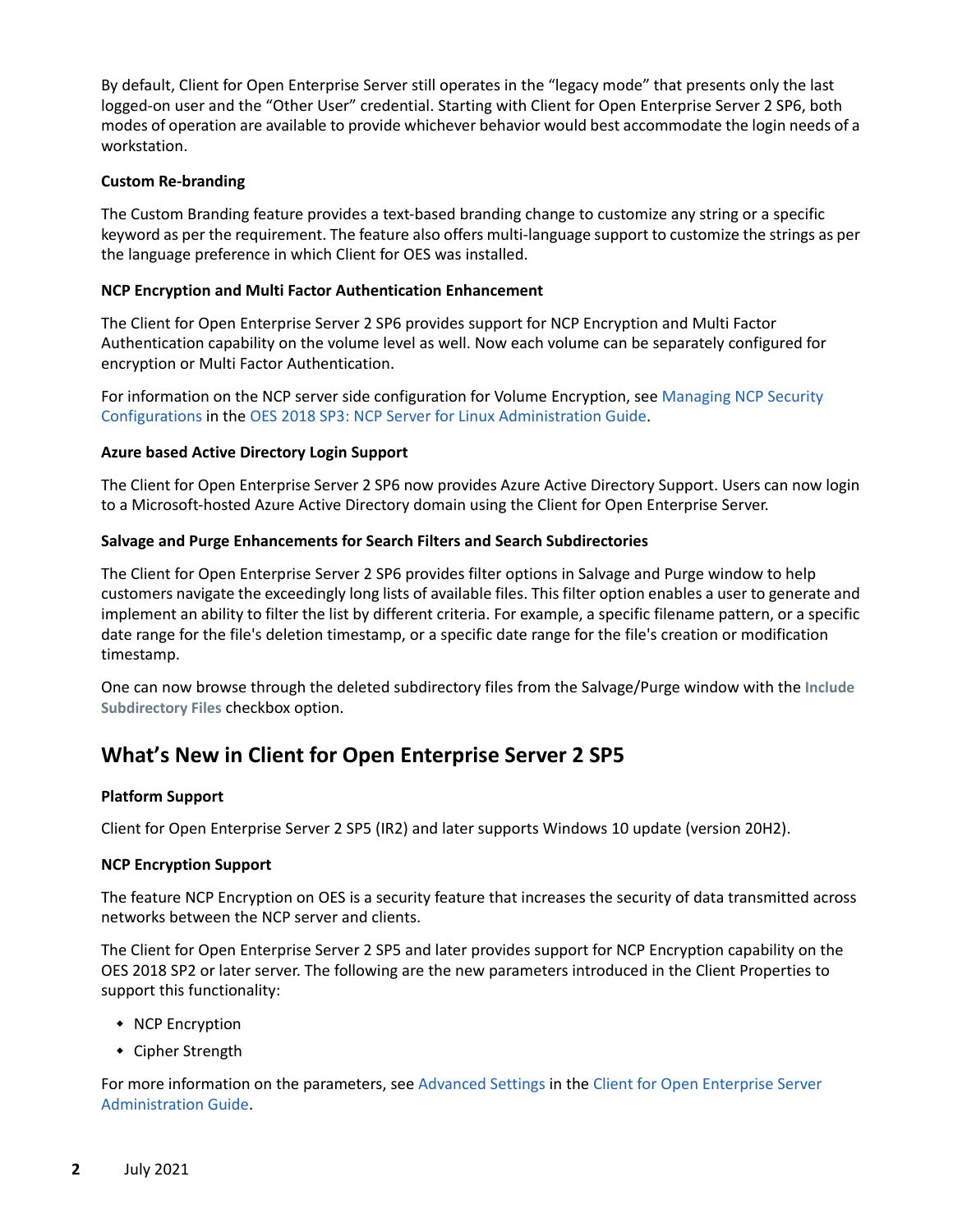By default, Client for Open Enterprise Server still operates in the "legacy mode" that presents only the last logged-on user and the "Other User" credential. Starting with Client for Open Enterprise Server 2 SP6, both modes of operation are available to provide whichever behavior would best accommodate the login needs of a workstation.

#### **Custom Re-branding**

The Custom Branding feature provides a text-based branding change to customize any string or a specific keyword as per the requirement. The feature also offers multi-language support to customize the strings as per the language preference in which Client for OES was installed.

#### **NCP Encryption and Multi Factor Authentication Enhancement**

The Client for Open Enterprise Server 2 SP6 provides support for NCP Encryption and Multi Factor Authentication capability on the volume level as well. Now each volume can be separately configured for encryption or Multi Factor Authentication.

For information on the NCP server side configuration for Volume Encryption, see [Managing NCP Security](https://www.microfocus.com/documentation/open-enterprise-server/2018-SP3/file_ncp_lx/ba456t4.html#t4aynjnvtf6f)  [Configurations](https://www.microfocus.com/documentation/open-enterprise-server/2018-SP3/file_ncp_lx/ba456t4.html#t4aynjnvtf6f) in the [OES 2018 SP3: NCP Server for Linux Administration Guide.](https://www.microfocus.com/documentation/open-enterprise-server/2018-SP3/file_ncp_lx/h9izvdye.html)

#### **Azure based Active Directory Login Support**

The Client for Open Enterprise Server 2 SP6 now provides Azure Active Directory Support. Users can now login to a Microsoft-hosted Azure Active Directory domain using the Client for Open Enterprise Server.

#### **Salvage and Purge Enhancements for Search Filters and Search Subdirectories**

The Client for Open Enterprise Server 2 SP6 provides filter options in Salvage and Purge window to help customers navigate the exceedingly long lists of available files. This filter option enables a user to generate and implement an ability to filter the list by different criteria. For example, a specific filename pattern, or a specific date range for the file's deletion timestamp, or a specific date range for the file's creation or modification timestamp.

One can now browse through the deleted subdirectory files from the Salvage/Purge window with the **Include Subdirectory Files** checkbox option.

#### <span id="page-1-0"></span>**What's New in Client for Open Enterprise Server 2 SP5**

#### **Platform Support**

Client for Open Enterprise Server 2 SP5 (IR2) and later supports Windows 10 update (version 20H2).

#### **NCP Encryption Support**

The feature NCP Encryption on OES is a security feature that increases the security of data transmitted across networks between the NCP server and clients.

The Client for Open Enterprise Server 2 SP5 and later provides support for NCP Encryption capability on the OES 2018 SP2 or later server. The following are the new parameters introduced in the Client Properties to support this functionality:

- NCP Encryption
- Cipher Strength

For more information on the parameters, see [Advanced Settings](https://www.microfocus.com/documentation/client-for-open-enterprise-server/sp6/pdfdoc/windows_client_admin/windows_client_admin.pdf#b856y7h) in the [Client for Open Enterprise Server](https://www.microfocus.com/documentation/client-for-open-enterprise-server/sp6/pdfdoc/windows_client_admin/windows_client_admin.pdf#H4rudg93)  [Administration Guide](https://www.microfocus.com/documentation/client-for-open-enterprise-server/sp6/pdfdoc/windows_client_admin/windows_client_admin.pdf#H4rudg93).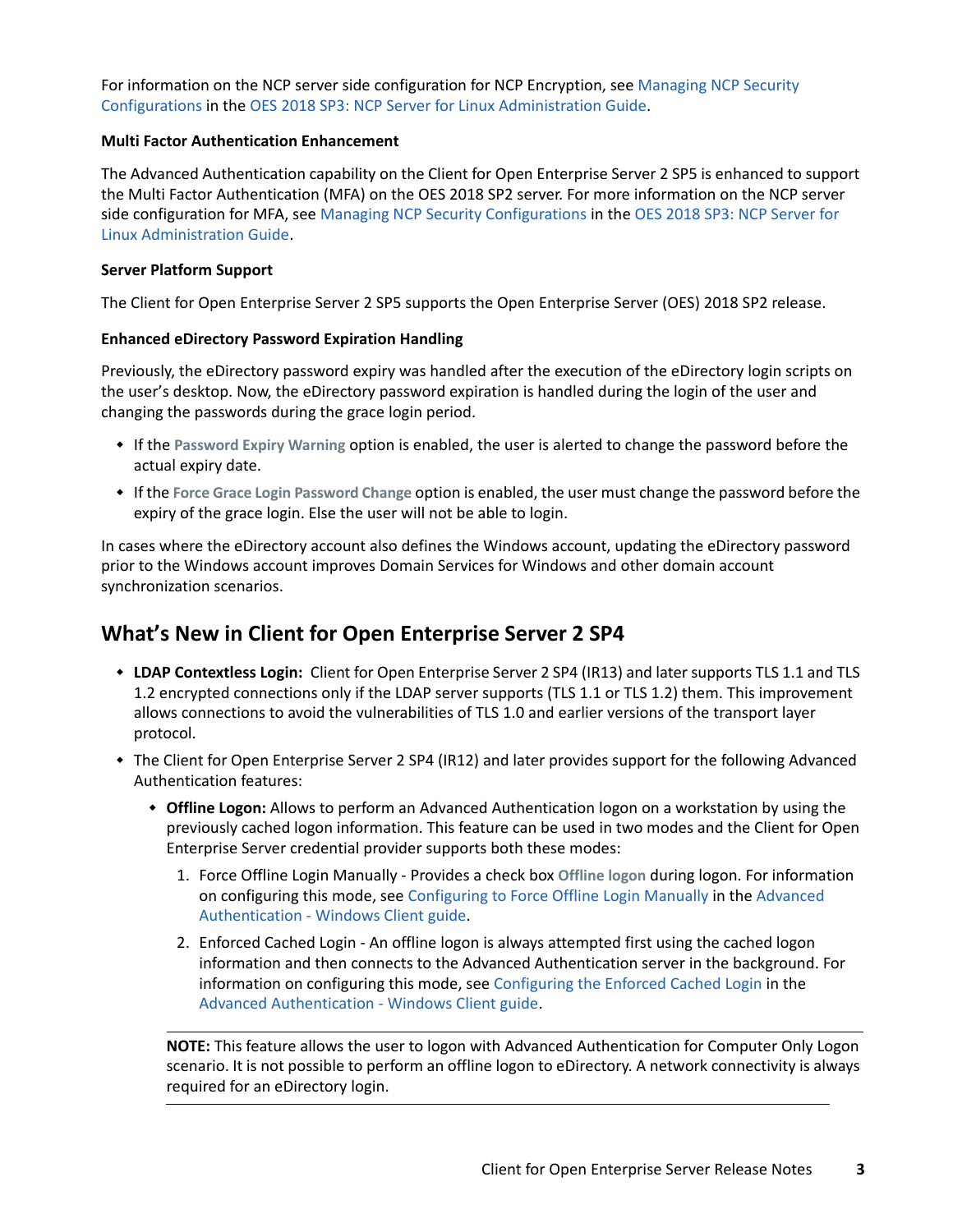For information on the NCP server side configuration for NCP Encryption, see [Managing NCP Security](https://www.microfocus.com/documentation/open-enterprise-server/2018-SP3/file_ncp_lx/ba456t4.html#t4aynjnvtf6f)  [Configurations](https://www.microfocus.com/documentation/open-enterprise-server/2018-SP3/file_ncp_lx/ba456t4.html#t4aynjnvtf6f) in the [OES 2018 SP3: NCP Server for Linux Administration Guide.](https://www.microfocus.com/documentation/open-enterprise-server/2018-SP3/file_ncp_lx/h9izvdye.html)

#### **Multi Factor Authentication Enhancement**

The Advanced Authentication capability on the Client for Open Enterprise Server 2 SP5 is enhanced to support the Multi Factor Authentication (MFA) on the OES 2018 SP2 server. For more information on the NCP server side configuration for MFA, see [Managing NCP Security Configurations](https://www.microfocus.com/documentation/open-enterprise-server/2018-SP3/file_ncp_lx/ba456t4.html#t4aynjnvtf6f) in the [OES 2018 SP3: NCP Server for](https://www.microfocus.com/documentation/open-enterprise-server/2018-SP3/file_ncp_lx/h9izvdye.html)  [Linux Administration Guide](https://www.microfocus.com/documentation/open-enterprise-server/2018-SP3/file_ncp_lx/h9izvdye.html).

#### **Server Platform Support**

The Client for Open Enterprise Server 2 SP5 supports the Open Enterprise Server (OES) 2018 SP2 release.

#### **Enhanced eDirectory Password Expiration Handling**

Previously, the eDirectory password expiry was handled after the execution of the eDirectory login scripts on the user's desktop. Now, the eDirectory password expiration is handled during the login of the user and changing the passwords during the grace login period.

- If the **Password Expiry Warning** option is enabled, the user is alerted to change the password before the actual expiry date.
- If the **Force Grace Login Password Change** option is enabled, the user must change the password before the expiry of the grace login. Else the user will not be able to login.

In cases where the eDirectory account also defines the Windows account, updating the eDirectory password prior to the Windows account improves Domain Services for Windows and other domain account synchronization scenarios.

#### <span id="page-2-0"></span>**What's New in Client for Open Enterprise Server 2 SP4**

- **LDAP Contextless Login:** Client for Open Enterprise Server 2 SP4 (IR13) and later supports TLS 1.1 and TLS 1.2 encrypted connections only if the LDAP server supports (TLS 1.1 or TLS 1.2) them. This improvement allows connections to avoid the vulnerabilities of TLS 1.0 and earlier versions of the transport layer protocol.
- The Client for Open Enterprise Server 2 SP4 (IR12) and later provides support for the following Advanced Authentication features:
	- **Offline Logon:** Allows to perform an Advanced Authentication logon on a workstation by using the previously cached logon information. This feature can be used in two modes and the Client for Open Enterprise Server credential provider supports both these modes:
		- 1. Force Offline Login Manually Provides a check box **Offline logon** during logon. For information on configuring this mode, see [Configuring to Force Offline Login Manually](https://www.netiq.com/documentation/advanced-authentication-62/windows-client-installation-guide/data/t47magk1zjg3.html#t42x9iffbsbp) in the [Advanced](https://www.netiq.com/documentation/advanced-authentication-62/windows-client-installation-guide/data/bookinfo.html)  [Authentication - Windows Client guide.](https://www.netiq.com/documentation/advanced-authentication-62/windows-client-installation-guide/data/bookinfo.html)
		- 2. Enforced Cached Login An offline logon is always attempted first using the cached logon information and then connects to the Advanced Authentication server in the background. For information on configuring this mode, see [Configuring the Enforced Cached Login](https://www.netiq.com/documentation/advanced-authentication-62/windows-client-installation-guide/data/t47magk1zjg3.html#t47ieu101d49) in the [Advanced Authentication - Windows Client guide](https://www.netiq.com/documentation/advanced-authentication-62/windows-client-installation-guide/data/bookinfo.html).

**NOTE:** This feature allows the user to logon with Advanced Authentication for Computer Only Logon scenario. It is not possible to perform an offline logon to eDirectory. A network connectivity is always required for an eDirectory login.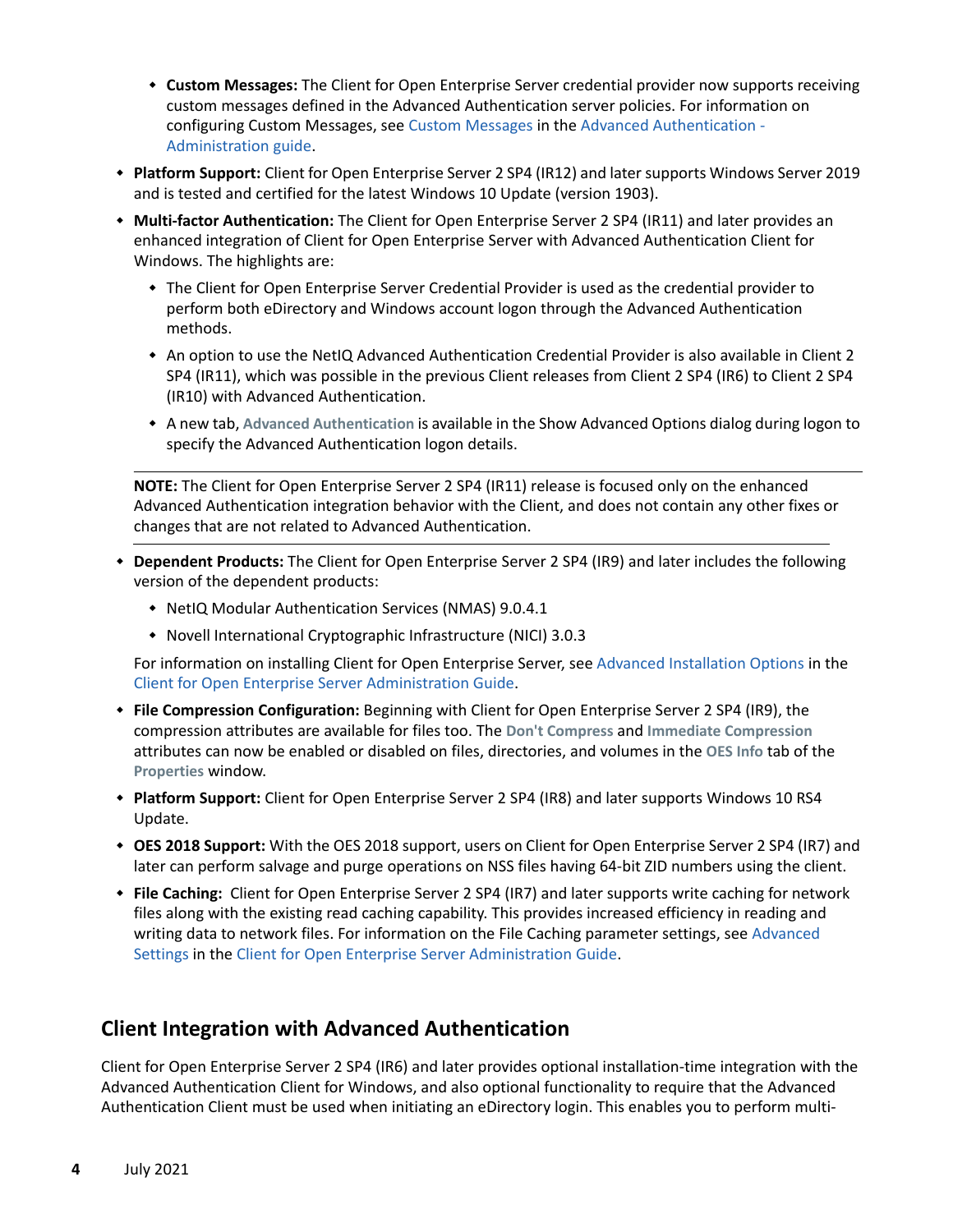- **Custom Messages:** The Client for Open Enterprise Server credential provider now supports receiving custom messages defined in the Advanced Authentication server policies. For information on configuring Custom Messages, see [Custom Messages](https://www.netiq.com/documentation/advanced-authentication-62/server-administrator-guide/data/configuring_policy.html#t44bggms6wxa) in the [Advanced Authentication -](https://www.netiq.com/documentation/advanced-authentication-62/server-administrator-guide/data/bookinfo.html)  [Administration guide](https://www.netiq.com/documentation/advanced-authentication-62/server-administrator-guide/data/bookinfo.html).
- **Platform Support:** Client for Open Enterprise Server 2 SP4 (IR12) and later supports Windows Server 2019 and is tested and certified for the latest Windows 10 Update (version 1903).
- **Multi-factor Authentication:** The Client for Open Enterprise Server 2 SP4 (IR11) and later provides an enhanced integration of Client for Open Enterprise Server with Advanced Authentication Client for Windows. The highlights are:
	- The Client for Open Enterprise Server Credential Provider is used as the credential provider to perform both eDirectory and Windows account logon through the Advanced Authentication methods.
	- An option to use the NetIQ Advanced Authentication Credential Provider is also available in Client 2 SP4 (IR11), which was possible in the previous Client releases from Client 2 SP4 (IR6) to Client 2 SP4 (IR10) with Advanced Authentication.
	- A new tab, **Advanced Authentication** is available in the Show Advanced Options dialog during logon to specify the Advanced Authentication logon details.

**NOTE:** The Client for Open Enterprise Server 2 SP4 (IR11) release is focused only on the enhanced Advanced Authentication integration behavior with the Client, and does not contain any other fixes or changes that are not related to Advanced Authentication.

- **Dependent Products:** The Client for Open Enterprise Server 2 SP4 (IR9) and later includes the following version of the dependent products:
	- NetIQ Modular Authentication Services (NMAS) 9.0.4.1
	- Novell International Cryptographic Infrastructure (NICI) 3.0.3

For information on installing Client for Open Enterprise Server, see [Advanced Installation Options](https://www.microfocus.com/documentation/client-for-open-enterprise-server/sp6/pdfdoc/windows_client_admin/windows_client_admin.pdf#bty402z) in the [Client for Open Enterprise Server Administration Guide.](https://www.microfocus.com/documentation/client-for-open-enterprise-server/sp6/pdfdoc/windows_client_admin/windows_client_admin.pdf#H4rudg93)

- **File Compression Configuration:** Beginning with Client for Open Enterprise Server 2 SP4 (IR9), the compression attributes are available for files too. The **Don't Compress** and **Immediate Compression** attributes can now be enabled or disabled on files, directories, and volumes in the **OES Info** tab of the **Properties** window.
- **Platform Support:** Client for Open Enterprise Server 2 SP4 (IR8) and later supports Windows 10 RS4 Update.
- **OES 2018 Support:** With the OES 2018 support, users on Client for Open Enterprise Server 2 SP4 (IR7) and later can perform salvage and purge operations on NSS files having 64-bit ZID numbers using the client.
- **File Caching:** Client for Open Enterprise Server 2 SP4 (IR7) and later supports write caching for network files along with the existing read caching capability. This provides increased efficiency in reading and writing data to network files. For information on the File Caching parameter settings, see [Advanced](https://www.microfocus.com/documentation/client-for-open-enterprise-server/sp6/pdfdoc/windows_client_admin/windows_client_admin.pdf#b856y7h)  [Settings](https://www.microfocus.com/documentation/client-for-open-enterprise-server/sp6/pdfdoc/windows_client_admin/windows_client_admin.pdf#b856y7h) in the [Client for Open Enterprise Server Administration Guide.](https://www.microfocus.com/documentation/client-for-open-enterprise-server/sp6/pdfdoc/windows_client_admin/windows_client_admin.pdf#H4rudg93)

#### <span id="page-3-0"></span>**Client Integration with Advanced Authentication**

Client for Open Enterprise Server 2 SP4 (IR6) and later provides optional installation-time integration with the Advanced Authentication Client for Windows, and also optional functionality to require that the Advanced Authentication Client must be used when initiating an eDirectory login. This enables you to perform multi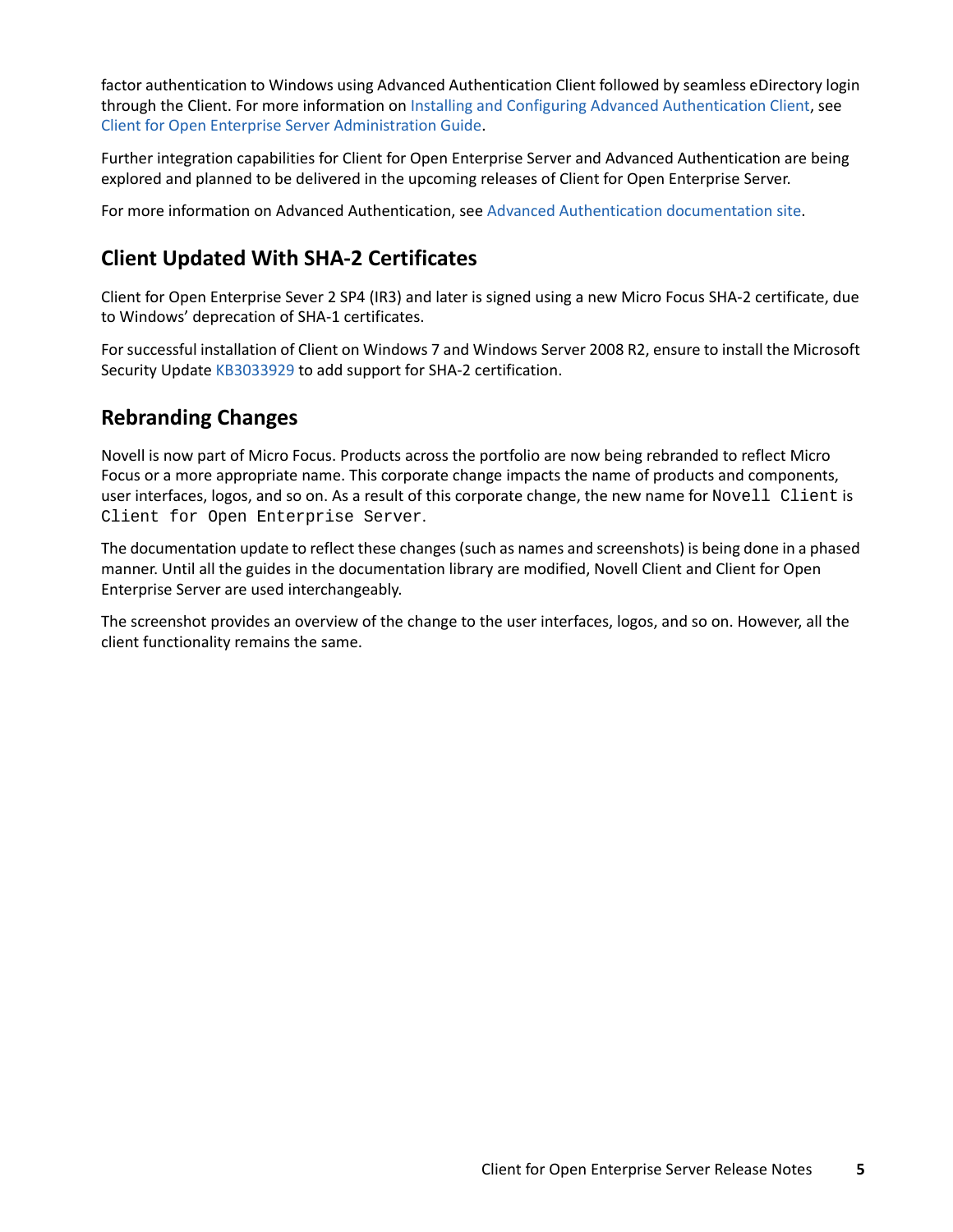factor authentication to Windows using Advanced Authentication Client followed by seamless eDirectory login through the Client. For more information on [Installing and Configuring Advanced Authentication Client,](https://www.microfocus.com/documentation/client-for-open-enterprise-server/sp6/pdfdoc/windows_client_admin/windows_client_admin.pdf#t42oc2ood3ga) see [Client for Open Enterprise Server Administration Guide.](https://www.microfocus.com/documentation/client-for-open-enterprise-server/sp6/pdfdoc/windows_client_admin/windows_client_admin.pdf#H4rudg93)

Further integration capabilities for Client for Open Enterprise Server and Advanced Authentication are being explored and planned to be delivered in the upcoming releases of Client for Open Enterprise Server.

For more information on Advanced Authentication, see [Advanced Authentication documentation site](https://www.netiq.com/documentation/advanced-authentication-61/).

### <span id="page-4-0"></span>**Client Updated With SHA-2 Certificates**

Client for Open Enterprise Sever 2 SP4 (IR3) and later is signed using a new Micro Focus SHA-2 certificate, due to Windows' deprecation of SHA-1 certificates.

For successful installation of Client on Windows 7 and Windows Server 2008 R2, ensure to install the Microsoft Security Update [KB3033929](https://support.microsoft.com/en-us/kb/3033929) to add support for SHA-2 certification.

### <span id="page-4-1"></span>**Rebranding Changes**

Novell is now part of Micro Focus. Products across the portfolio are now being rebranded to reflect Micro Focus or a more appropriate name. This corporate change impacts the name of products and components, user interfaces, logos, and so on. As a result of this corporate change, the new name for Novell Client is Client for Open Enterprise Server.

The documentation update to reflect these changes (such as names and screenshots) is being done in a phased manner. Until all the guides in the documentation library are modified, Novell Client and Client for Open Enterprise Server are used interchangeably.

The screenshot provides an overview of the change to the user interfaces, logos, and so on. However, all the client functionality remains the same.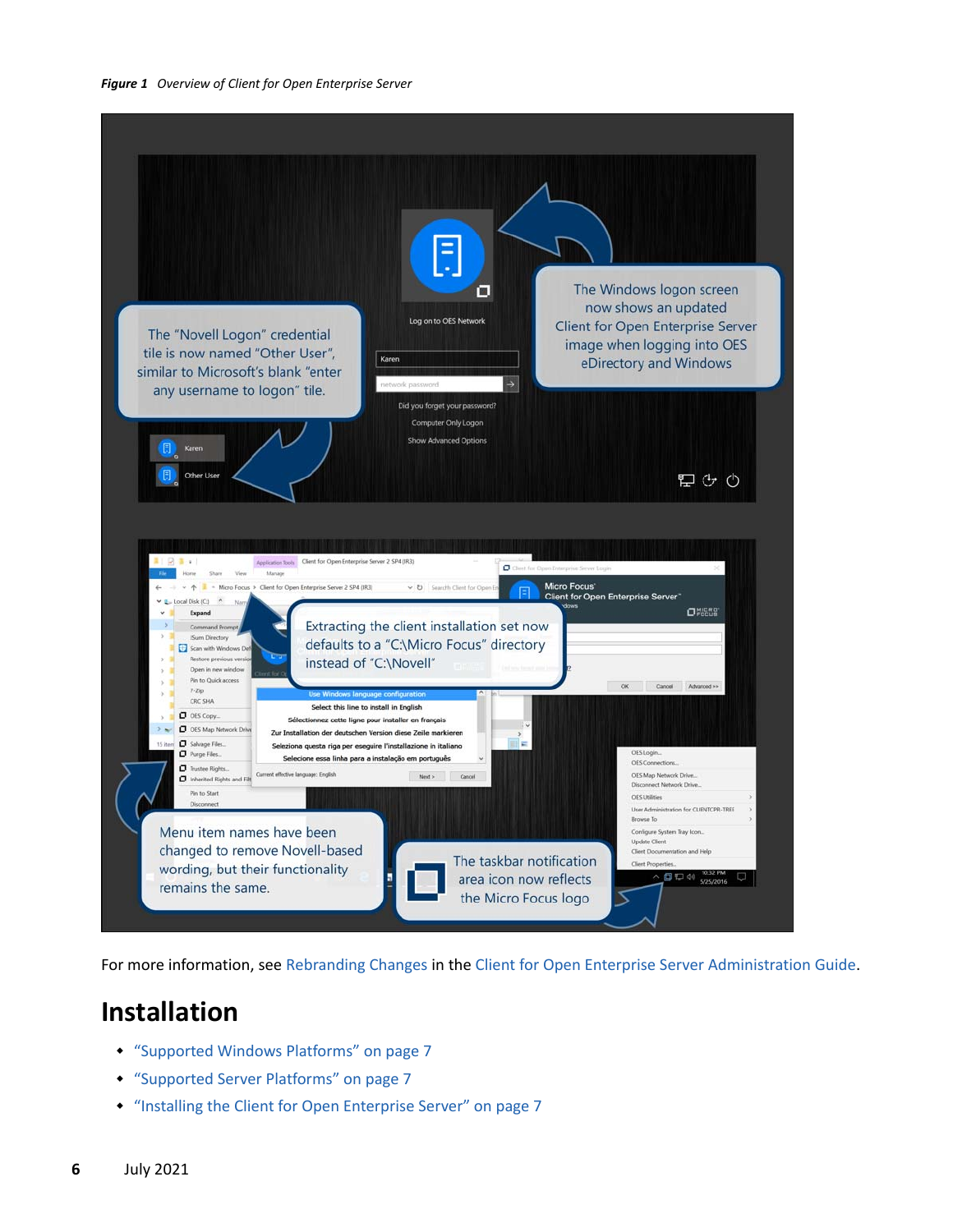

For more information, see [Rebranding Changes](https://www.microfocus.com/documentation/client-for-open-enterprise-server/sp6/pdfdoc/windows_client_admin/windows_client_admin.pdf#b1ld1wca) in the [Client for Open Enterprise Server Administration Guide](https://www.microfocus.com/documentation/client-for-open-enterprise-server/sp6/pdfdoc/windows_client_admin/windows_client_admin.pdf#H4rudg93).

### **Installation**

- ["Supported Windows Platforms" on page 7](#page-6-0)
- ["Supported Server Platforms" on page 7](#page-6-1)
- ["Installing the Client for Open Enterprise Server" on page 7](#page-6-2)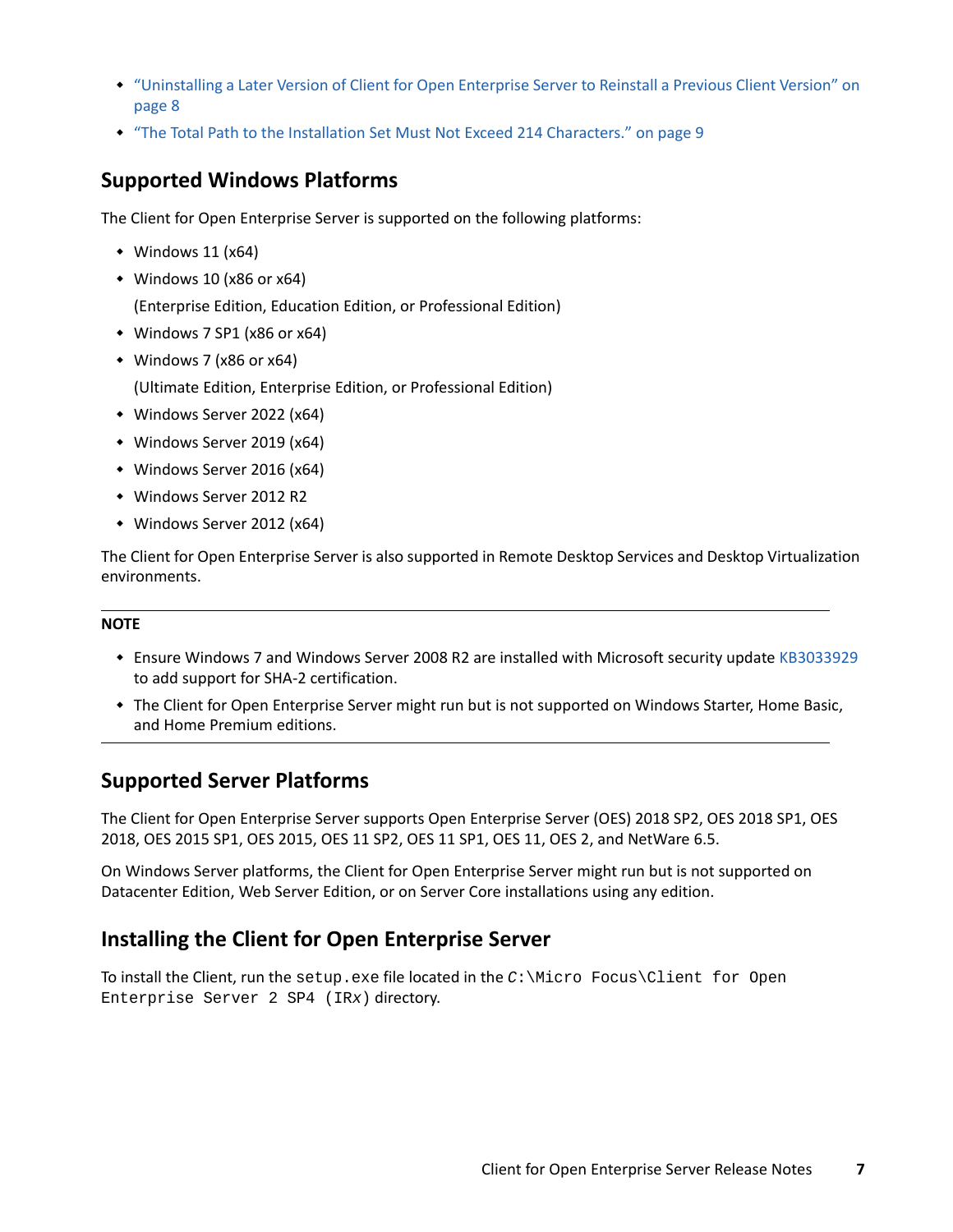- ["Uninstalling a Later Version of Client for Open Enterprise Server to Reinstall a Previous Client Version" on](#page-7-0)  [page 8](#page-7-0)
- ["The Total Path to the Installation Set Must Not Exceed 214 Characters." on page 9](#page-8-0)

#### <span id="page-6-0"></span>**Supported Windows Platforms**

The Client for Open Enterprise Server is supported on the following platforms:

- $*$  Windows 11 (x64)
- $*$  Windows 10 (x86 or x64)

(Enterprise Edition, Education Edition, or Professional Edition)

- Windows 7 SP1 (x86 or x64)
- Windows 7 (x86 or x64)

(Ultimate Edition, Enterprise Edition, or Professional Edition)

- Windows Server 2022 (x64)
- Windows Server 2019 (x64)
- Windows Server 2016 (x64)
- Windows Server 2012 R2
- Windows Server 2012 (x64)

The Client for Open Enterprise Server is also supported in Remote Desktop Services and Desktop Virtualization environments.

#### **NOTE**

- Ensure Windows 7 and Windows Server 2008 R2 are installed with Microsoft security update [KB3033929](https://support.microsoft.com/en-us/kb/3033929) to add support for SHA-2 certification.
- The Client for Open Enterprise Server might run but is not supported on Windows Starter, Home Basic, and Home Premium editions.

#### <span id="page-6-1"></span>**Supported Server Platforms**

The Client for Open Enterprise Server supports Open Enterprise Server (OES) 2018 SP2, OES 2018 SP1, OES 2018, OES 2015 SP1, OES 2015, OES 11 SP2, OES 11 SP1, OES 11, OES 2, and NetWare 6.5.

On Windows Server platforms, the Client for Open Enterprise Server might run but is not supported on Datacenter Edition, Web Server Edition, or on Server Core installations using any edition.

#### <span id="page-6-2"></span>**Installing the Client for Open Enterprise Server**

To install the Client, run the setup.exe file located in the *C*:\Micro Focus\Client for Open Enterprise Server 2 SP4 (IR*x*) directory.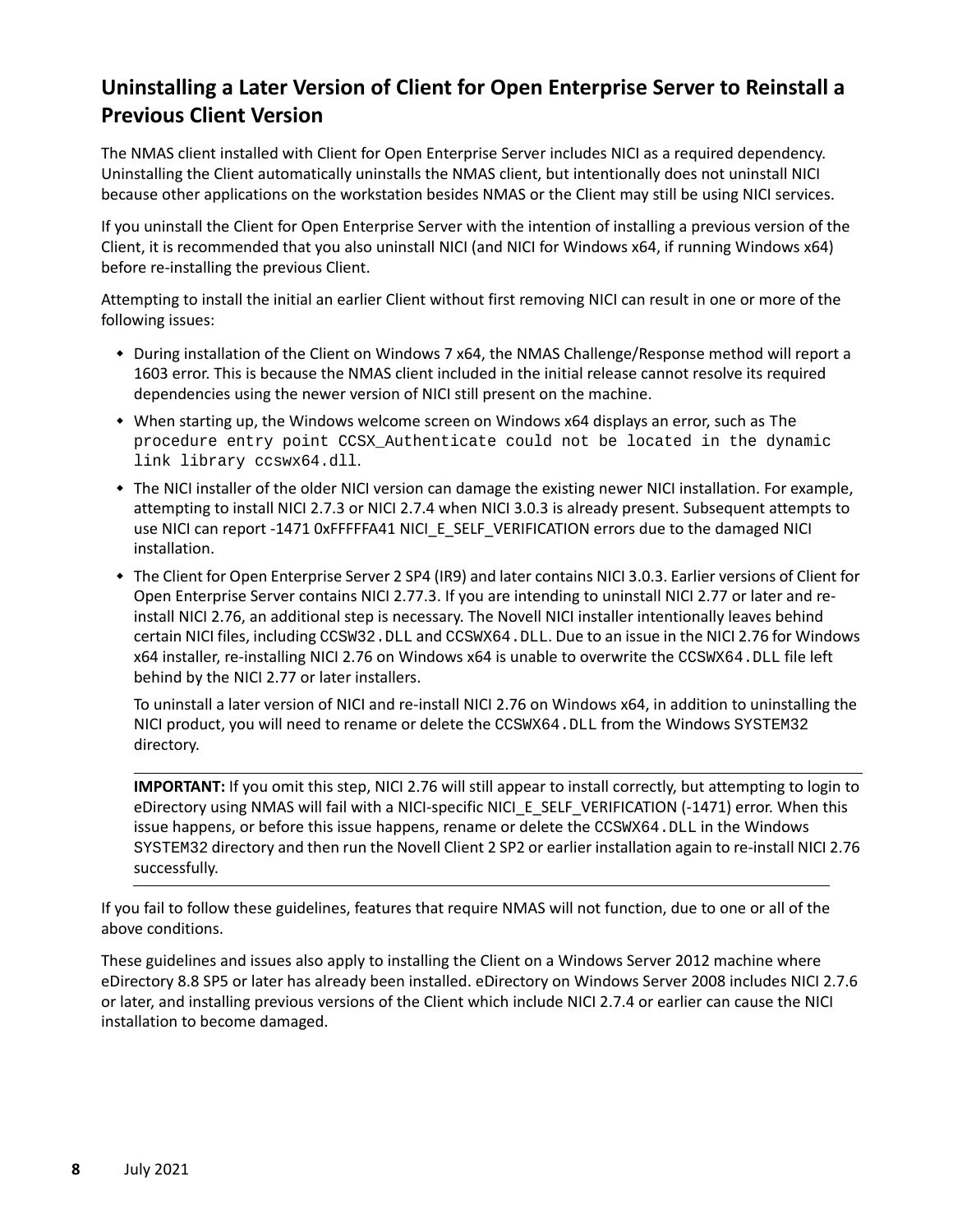### <span id="page-7-0"></span>**Uninstalling a Later Version of Client for Open Enterprise Server to Reinstall a Previous Client Version**

The NMAS client installed with Client for Open Enterprise Server includes NICI as a required dependency. Uninstalling the Client automatically uninstalls the NMAS client, but intentionally does not uninstall NICI because other applications on the workstation besides NMAS or the Client may still be using NICI services.

If you uninstall the Client for Open Enterprise Server with the intention of installing a previous version of the Client, it is recommended that you also uninstall NICI (and NICI for Windows x64, if running Windows x64) before re-installing the previous Client.

Attempting to install the initial an earlier Client without first removing NICI can result in one or more of the following issues:

- During installation of the Client on Windows 7 x64, the NMAS Challenge/Response method will report a 1603 error. This is because the NMAS client included in the initial release cannot resolve its required dependencies using the newer version of NICI still present on the machine.
- When starting up, the Windows welcome screen on Windows x64 displays an error, such as The procedure entry point CCSX\_Authenticate could not be located in the dynamic link library ccswx64.dll.
- The NICI installer of the older NICI version can damage the existing newer NICI installation. For example, attempting to install NICI 2.7.3 or NICI 2.7.4 when NICI 3.0.3 is already present. Subsequent attempts to use NICI can report -1471 0xFFFFFA41 NICI\_E\_SELF\_VERIFICATION errors due to the damaged NICI installation.
- The Client for Open Enterprise Server 2 SP4 (IR9) and later contains NICI 3.0.3. Earlier versions of Client for Open Enterprise Server contains NICI 2.77.3. If you are intending to uninstall NICI 2.77 or later and reinstall NICI 2.76, an additional step is necessary. The Novell NICI installer intentionally leaves behind certain NICI files, including CCSW32.DLL and CCSWX64.DLL. Due to an issue in the NICI 2.76 for Windows x64 installer, re-installing NICI 2.76 on Windows x64 is unable to overwrite the CCSWX64.DLL file left behind by the NICI 2.77 or later installers.

To uninstall a later version of NICI and re-install NICI 2.76 on Windows x64, in addition to uninstalling the NICI product, you will need to rename or delete the CCSWX64.DLL from the Windows SYSTEM32 directory.

**IMPORTANT:** If you omit this step, NICI 2.76 will still appear to install correctly, but attempting to login to eDirectory using NMAS will fail with a NICI-specific NICI\_E\_SELF\_VERIFICATION (-1471) error. When this issue happens, or before this issue happens, rename or delete the CCSWX64.DLL in the Windows SYSTEM32 directory and then run the Novell Client 2 SP2 or earlier installation again to re-install NICI 2.76 successfully.

If you fail to follow these guidelines, features that require NMAS will not function, due to one or all of the above conditions.

These guidelines and issues also apply to installing the Client on a Windows Server 2012 machine where eDirectory 8.8 SP5 or later has already been installed. eDirectory on Windows Server 2008 includes NICI 2.7.6 or later, and installing previous versions of the Client which include NICI 2.7.4 or earlier can cause the NICI installation to become damaged.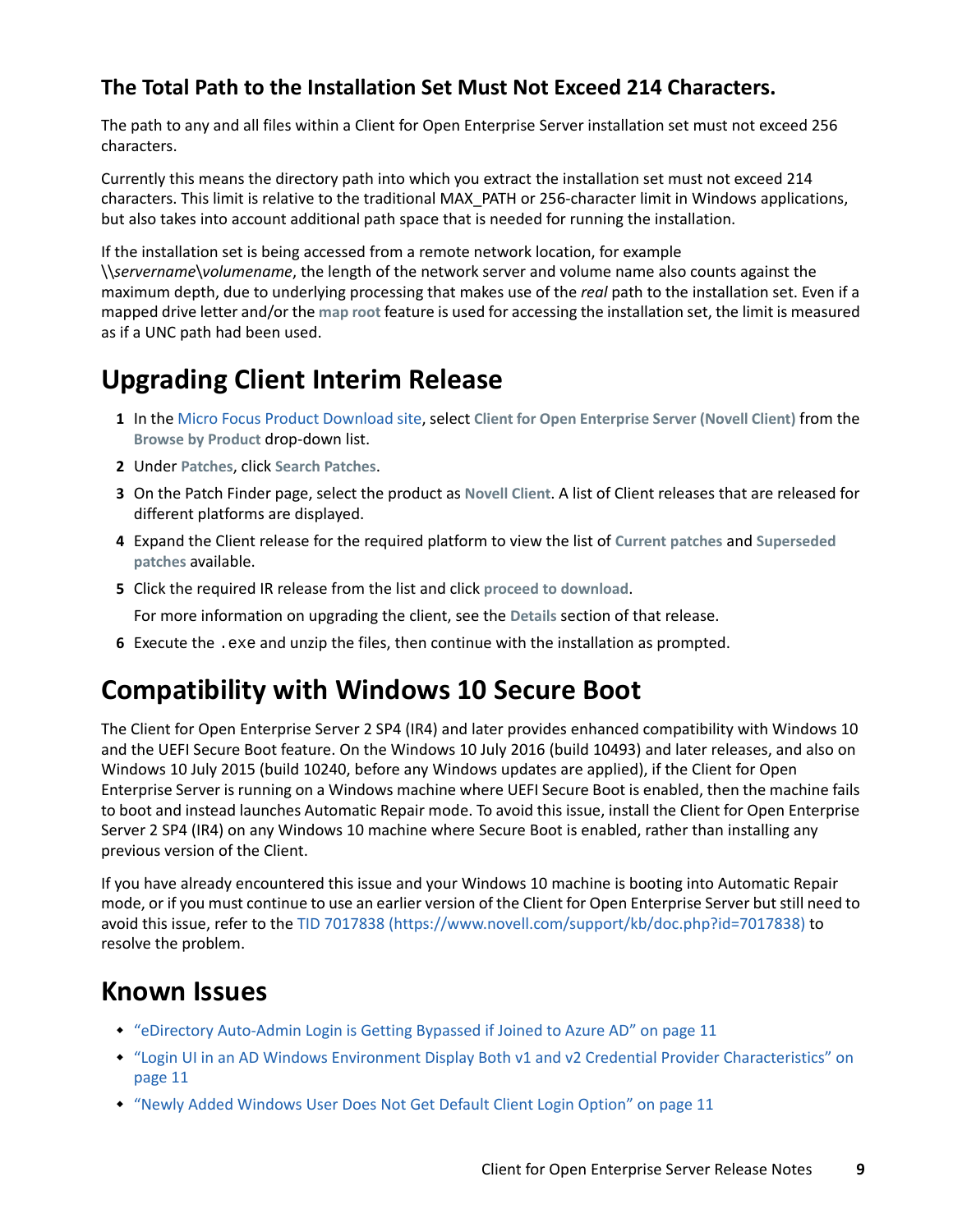#### <span id="page-8-0"></span>**The Total Path to the Installation Set Must Not Exceed 214 Characters.**

The path to any and all files within a Client for Open Enterprise Server installation set must not exceed 256 characters.

Currently this means the directory path into which you extract the installation set must not exceed 214 characters. This limit is relative to the traditional MAX\_PATH or 256-character limit in Windows applications, but also takes into account additional path space that is needed for running the installation.

If the installation set is being accessed from a remote network location, for example

\\*servername*\*volumename*, the length of the network server and volume name also counts against the maximum depth, due to underlying processing that makes use of the *real* path to the installation set. Even if a mapped drive letter and/or the **map root** feature is used for accessing the installation set, the limit is measured as if a UNC path had been used.

# **Upgrading Client Interim Release**

- **1** In the [Micro Focus Product Download site](https://www.microfocus.com/support-and-services/download/), select **Client for Open Enterprise Server (Novell Client)** from the **Browse by Product** drop-down list.
- **2** Under **Patches**, click **Search Patches**.
- **3** On the Patch Finder page, select the product as **Novell Client**. A list of Client releases that are released for different platforms are displayed.
- **4** Expand the Client release for the required platform to view the list of **Current patches** and **Superseded patches** available.
- **5** Click the required IR release from the list and click **proceed to download**.
	- For more information on upgrading the client, see the **Details** section of that release.
- **6** Execute the .exe and unzip the files, then continue with the installation as prompted.

### **Compatibility with Windows 10 Secure Boot**

The Client for Open Enterprise Server 2 SP4 (IR4) and later provides enhanced compatibility with Windows 10 and the UEFI Secure Boot feature. On the Windows 10 July 2016 (build 10493) and later releases, and also on Windows 10 July 2015 (build 10240, before any Windows updates are applied), if the Client for Open Enterprise Server is running on a Windows machine where UEFI Secure Boot is enabled, then the machine fails to boot and instead launches Automatic Repair mode. To avoid this issue, install the Client for Open Enterprise Server 2 SP4 (IR4) on any Windows 10 machine where Secure Boot is enabled, rather than installing any previous version of the Client.

If you have already encountered this issue and your Windows 10 machine is booting into Automatic Repair mode, or if you must continue to use an earlier version of the Client for Open Enterprise Server but still need to avoid this issue, refer to the [TID 7017838](https://www.novell.com/support/kb/doc.php?id=7017838) (https://www.novell.com/support/kb/doc.php?id=7017838) to resolve the problem.

### **Known Issues**

- ["eDirectory Auto-Admin Login is Getting Bypassed if Joined to Azure AD" on page 11](#page-10-0)
- ["Login UI in an AD Windows Environment Display Both v1 and v2 Credential Provider Characteristics" on](#page-10-1)  [page 11](#page-10-1)
- ["Newly Added Windows User Does Not Get Default Client Login Option" on page 11](#page-10-2)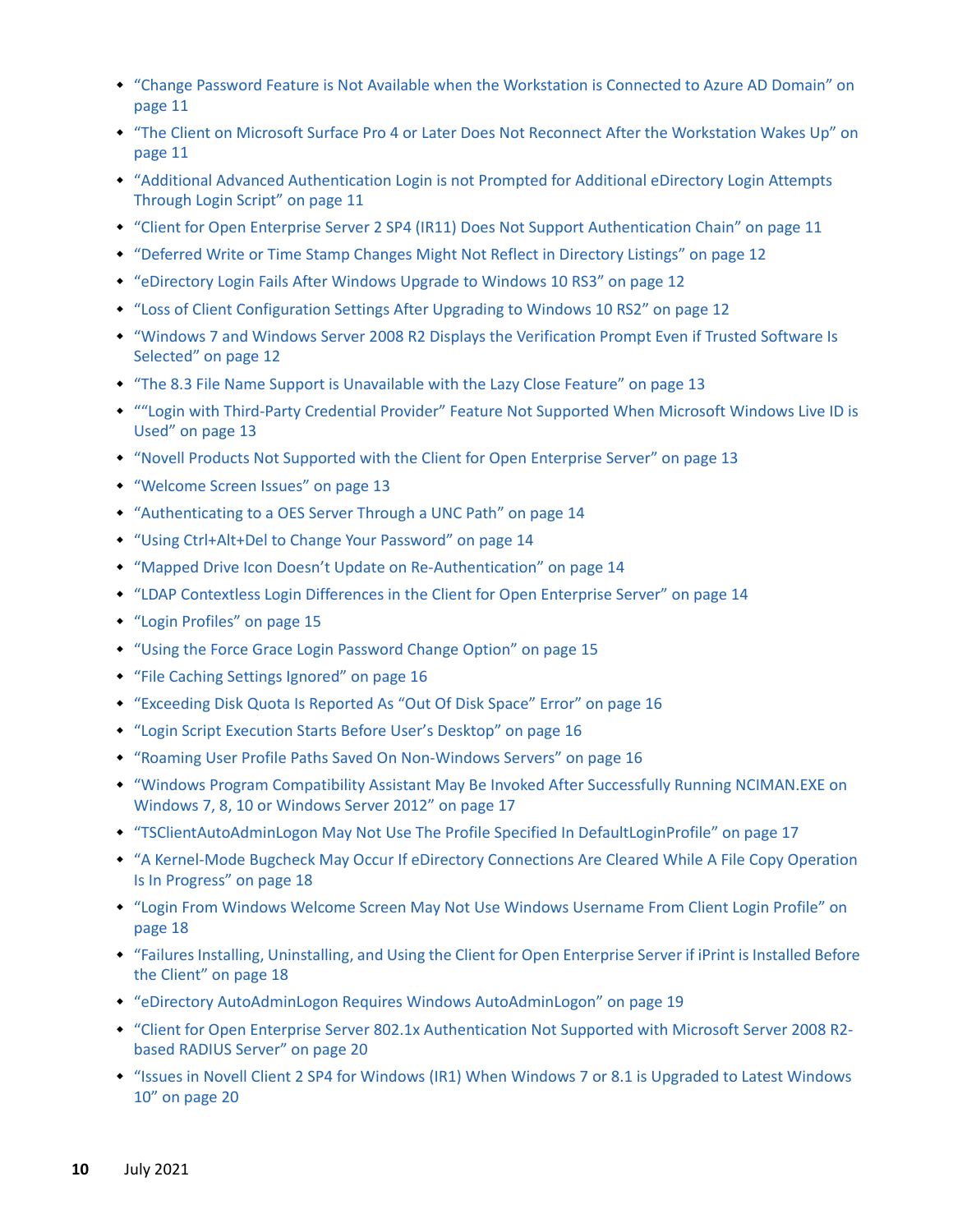- ["Change Password Feature is Not Available when the Workstation is Connected to Azure AD Domain" on](#page-10-3)  [page 11](#page-10-3)
- ["The Client on Microsoft Surface Pro 4 or Later Does Not Reconnect After the Workstation Wakes Up" on](#page-10-4)  [page 11](#page-10-4)
- ["Additional Advanced Authentication Login is not Prompted for Additional eDirectory Login Attempts](#page-10-5)  [Through Login Script" on page 11](#page-10-5)
- ["Client for Open Enterprise Server 2 SP4 \(IR11\) Does Not Support Authentication Chain" on page 11](#page-10-6)
- ["Deferred Write or Time Stamp Changes Might Not Reflect in Directory Listings" on page 12](#page-11-0)
- ["eDirectory Login Fails After Windows Upgrade to Windows 10 RS3" on page 12](#page-11-1)
- ["Loss of Client Configuration Settings After Upgrading to Windows 10 RS2" on page 12](#page-11-2)
- ["Windows 7 and Windows Server 2008 R2 Displays the Verification Prompt Even if Trusted Software Is](#page-11-3)  [Selected" on page 12](#page-11-3)
- ["The 8.3 File Name Support is Unavailable with the Lazy Close Feature" on page 13](#page-12-0)
- [""Login with Third-Party Credential Provider" Feature Not Supported When Microsoft Windows Live ID is](#page-12-1)  [Used" on page 13](#page-12-1)
- ["Novell Products Not Supported with the Client for Open Enterprise Server" on page 13](#page-12-2)
- ["Welcome Screen Issues" on page 13](#page-12-3)
- ["Authenticating to a OES Server Through a UNC Path" on page 14](#page-13-0)
- ["Using Ctrl+Alt+Del to Change Your Password" on page 14](#page-13-1)
- ["Mapped Drive Icon Doesn't Update on Re-Authentication" on page](#page-13-2) 14
- ["LDAP Contextless Login Differences in the Client for Open Enterprise Server" on page 14](#page-13-3)
- ["Login Profiles" on page 15](#page-14-0)
- ["Using the Force Grace Login Password Change Option" on page 15](#page-14-1)
- ["File Caching Settings Ignored" on page 16](#page-15-0)
- ["Exceeding Disk Quota Is Reported As "Out Of Disk Space" Error" on page 16](#page-15-1)
- ["Login Script Execution Starts Before User's Desktop" on page 16](#page-15-2)
- ["Roaming User Profile Paths Saved On Non-Windows Servers" on page 16](#page-15-3)
- ["Windows Program Compatibility Assistant May Be Invoked After Successfully Running NCIMAN.EXE on](#page-16-0)  [Windows 7, 8, 10 or Windows Server 2012" on page 17](#page-16-0)
- ["TSClientAutoAdminLogon May Not Use The Profile Specified In DefaultLoginProfile" on page 17](#page-16-1)
- ["A Kernel-Mode Bugcheck May Occur If eDirectory Connections Are Cleared While A File Copy Operation](#page-17-0)  [Is In Progress" on page 18](#page-17-0)
- ["Login From Windows Welcome Screen May Not Use Windows Username From Client Login Profile" on](#page-17-1)  [page 18](#page-17-1)
- ["Failures Installing, Uninstalling, and Using the Client for Open Enterprise Server if iPrint is Installed Before](#page-17-2)  [the Client" on page 18](#page-17-2)
- ["eDirectory AutoAdminLogon Requires Windows AutoAdminLogon" on page 19](#page-18-0)
- ["Client for Open Enterprise Server 802.1x Authentication Not Supported with Microsoft Server 2008 R2](#page-19-0) [based RADIUS Server" on page 20](#page-19-0)
- ["Issues in Novell Client 2 SP4 for Windows \(IR1\) When Windows 7 or 8.1 is Upgraded to Latest Windows](#page-19-1)  [10" on page 20](#page-19-1)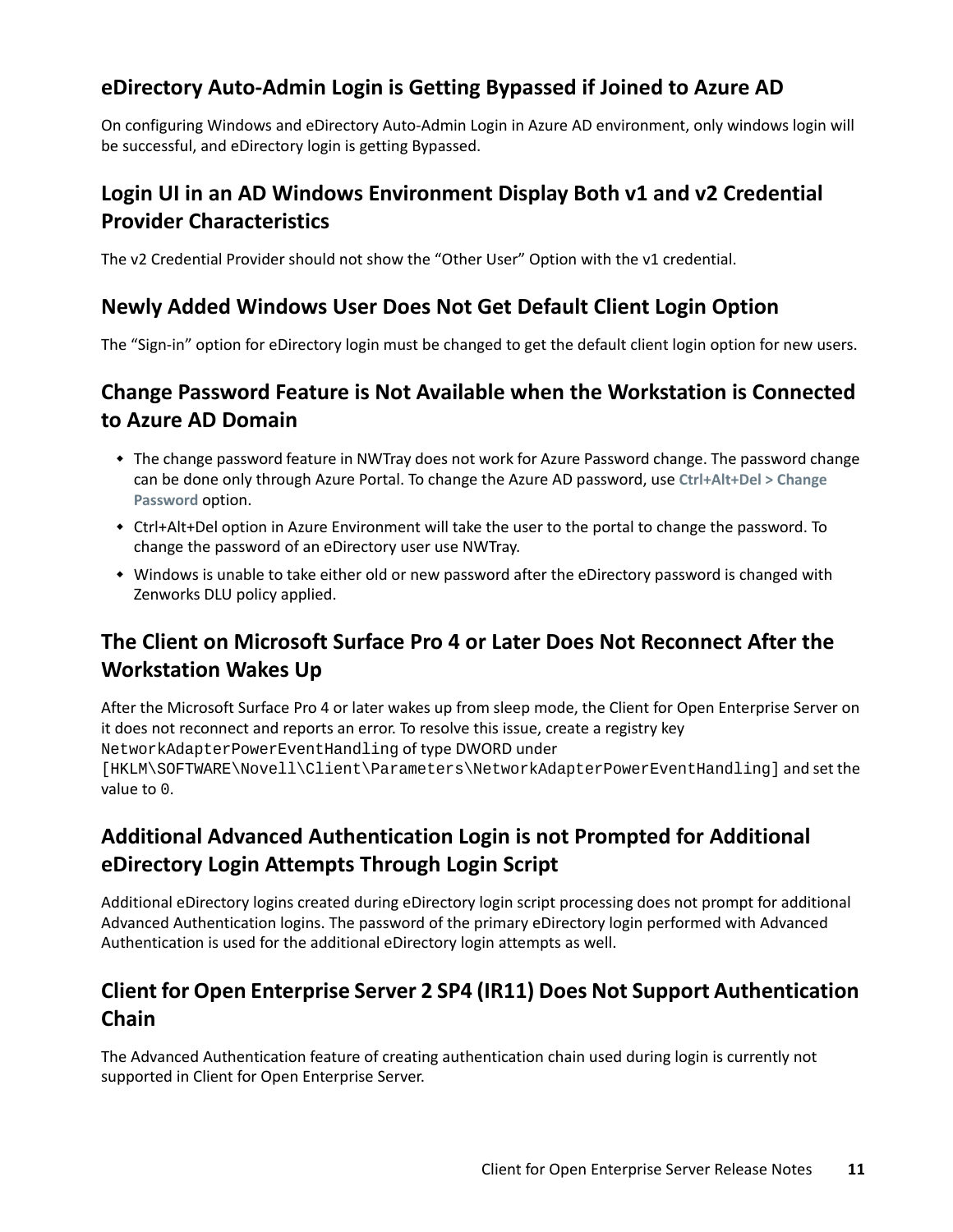#### <span id="page-10-0"></span>**eDirectory Auto-Admin Login is Getting Bypassed if Joined to Azure AD**

On configuring Windows and eDirectory Auto-Admin Login in Azure AD environment, only windows login will be successful, and eDirectory login is getting Bypassed.

#### <span id="page-10-1"></span>**Login UI in an AD Windows Environment Display Both v1 and v2 Credential Provider Characteristics**

The v2 Credential Provider should not show the "Other User" Option with the v1 credential.

#### <span id="page-10-2"></span>**Newly Added Windows User Does Not Get Default Client Login Option**

The "Sign-in" option for eDirectory login must be changed to get the default client login option for new users.

#### <span id="page-10-3"></span>**Change Password Feature is Not Available when the Workstation is Connected to Azure AD Domain**

- The change password feature in NWTray does not work for Azure Password change. The password change can be done only through Azure Portal. To change the Azure AD password, use **Ctrl+Alt+Del > Change Password** option.
- Ctrl+Alt+Del option in Azure Environment will take the user to the portal to change the password. To change the password of an eDirectory user use NWTray.
- Windows is unable to take either old or new password after the eDirectory password is changed with Zenworks DLU policy applied.

### <span id="page-10-4"></span>**The Client on Microsoft Surface Pro 4 or Later Does Not Reconnect After the Workstation Wakes Up**

After the Microsoft Surface Pro 4 or later wakes up from sleep mode, the Client for Open Enterprise Server on it does not reconnect and reports an error. To resolve this issue, create a registry key NetworkAdapterPowerEventHandling of type DWORD under [HKLM\SOFTWARE\Novell\Client\Parameters\NetworkAdapterPowerEventHandling] and set the value to 0.

### <span id="page-10-5"></span>**Additional Advanced Authentication Login is not Prompted for Additional eDirectory Login Attempts Through Login Script**

Additional eDirectory logins created during eDirectory login script processing does not prompt for additional Advanced Authentication logins. The password of the primary eDirectory login performed with Advanced Authentication is used for the additional eDirectory login attempts as well.

### <span id="page-10-6"></span>**Client for Open Enterprise Server 2 SP4 (IR11) Does Not Support Authentication Chain**

The Advanced Authentication feature of creating authentication chain used during login is currently not supported in Client for Open Enterprise Server.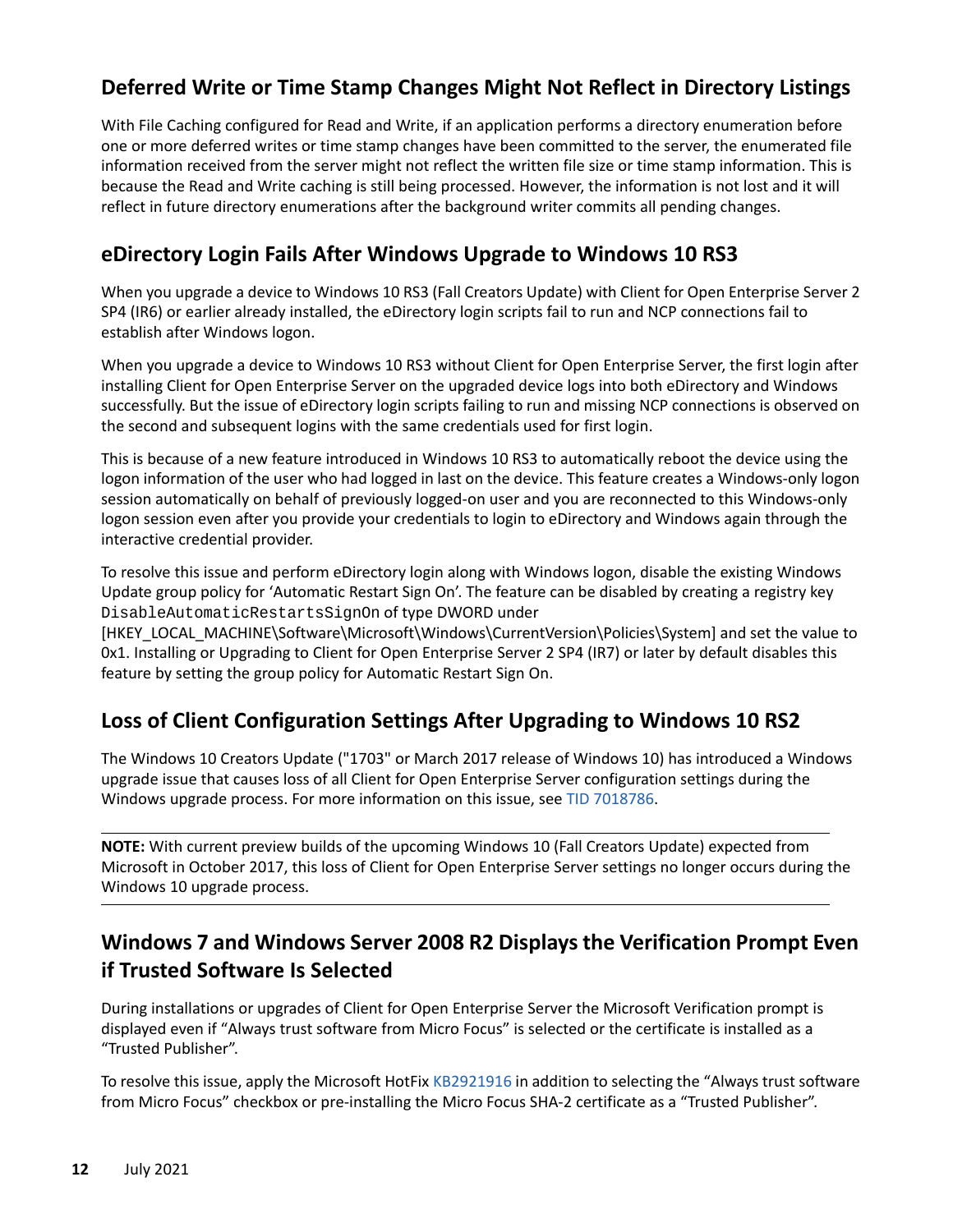### <span id="page-11-0"></span>**Deferred Write or Time Stamp Changes Might Not Reflect in Directory Listings**

With File Caching configured for Read and Write, if an application performs a directory enumeration before one or more deferred writes or time stamp changes have been committed to the server, the enumerated file information received from the server might not reflect the written file size or time stamp information. This is because the Read and Write caching is still being processed. However, the information is not lost and it will reflect in future directory enumerations after the background writer commits all pending changes.

#### <span id="page-11-1"></span>**eDirectory Login Fails After Windows Upgrade to Windows 10 RS3**

When you upgrade a device to Windows 10 RS3 (Fall Creators Update) with Client for Open Enterprise Server 2 SP4 (IR6) or earlier already installed, the eDirectory login scripts fail to run and NCP connections fail to establish after Windows logon.

When you upgrade a device to Windows 10 RS3 without Client for Open Enterprise Server, the first login after installing Client for Open Enterprise Server on the upgraded device logs into both eDirectory and Windows successfully. But the issue of eDirectory login scripts failing to run and missing NCP connections is observed on the second and subsequent logins with the same credentials used for first login.

This is because of a new feature introduced in Windows 10 RS3 to automatically reboot the device using the logon information of the user who had logged in last on the device. This feature creates a Windows-only logon session automatically on behalf of previously logged-on user and you are reconnected to this Windows-only logon session even after you provide your credentials to login to eDirectory and Windows again through the interactive credential provider.

To resolve this issue and perform eDirectory login along with Windows logon, disable the existing Windows Update group policy for 'Automatic Restart Sign On'. The feature can be disabled by creating a registry key DisableAutomaticRestartsSignOn of type DWORD under

[HKEY\_LOCAL\_MACHINE\Software\Microsoft\Windows\CurrentVersion\Policies\System] and set the value to 0x1. Installing or Upgrading to Client for Open Enterprise Server 2 SP4 (IR7) or later by default disables this feature by setting the group policy for Automatic Restart Sign On.

#### <span id="page-11-2"></span>**Loss of Client Configuration Settings After Upgrading to Windows 10 RS2**

The Windows 10 Creators Update ("1703" or March 2017 release of Windows 10) has introduced a Windows upgrade issue that causes loss of all Client for Open Enterprise Server configuration settings during the Windows upgrade process. For more information on this issue, see [TID 7018786](https://www.novell.com/support/kb/doc.php?id=7018786).

**NOTE:** With current preview builds of the upcoming Windows 10 (Fall Creators Update) expected from Microsoft in October 2017, this loss of Client for Open Enterprise Server settings no longer occurs during the Windows 10 upgrade process.

### <span id="page-11-3"></span>**Windows 7 and Windows Server 2008 R2 Displays the Verification Prompt Even if Trusted Software Is Selected**

During installations or upgrades of Client for Open Enterprise Server the Microsoft Verification prompt is displayed even if "Always trust software from Micro Focus" is selected or the certificate is installed as a "Trusted Publisher".

To resolve this issue, apply the Microsoft HotFix [KB2921916](https://support.microsoft.com/en-us/kb/2921916) in addition to selecting the "Always trust software from Micro Focus" checkbox or pre-installing the Micro Focus SHA-2 certificate as a "Trusted Publisher".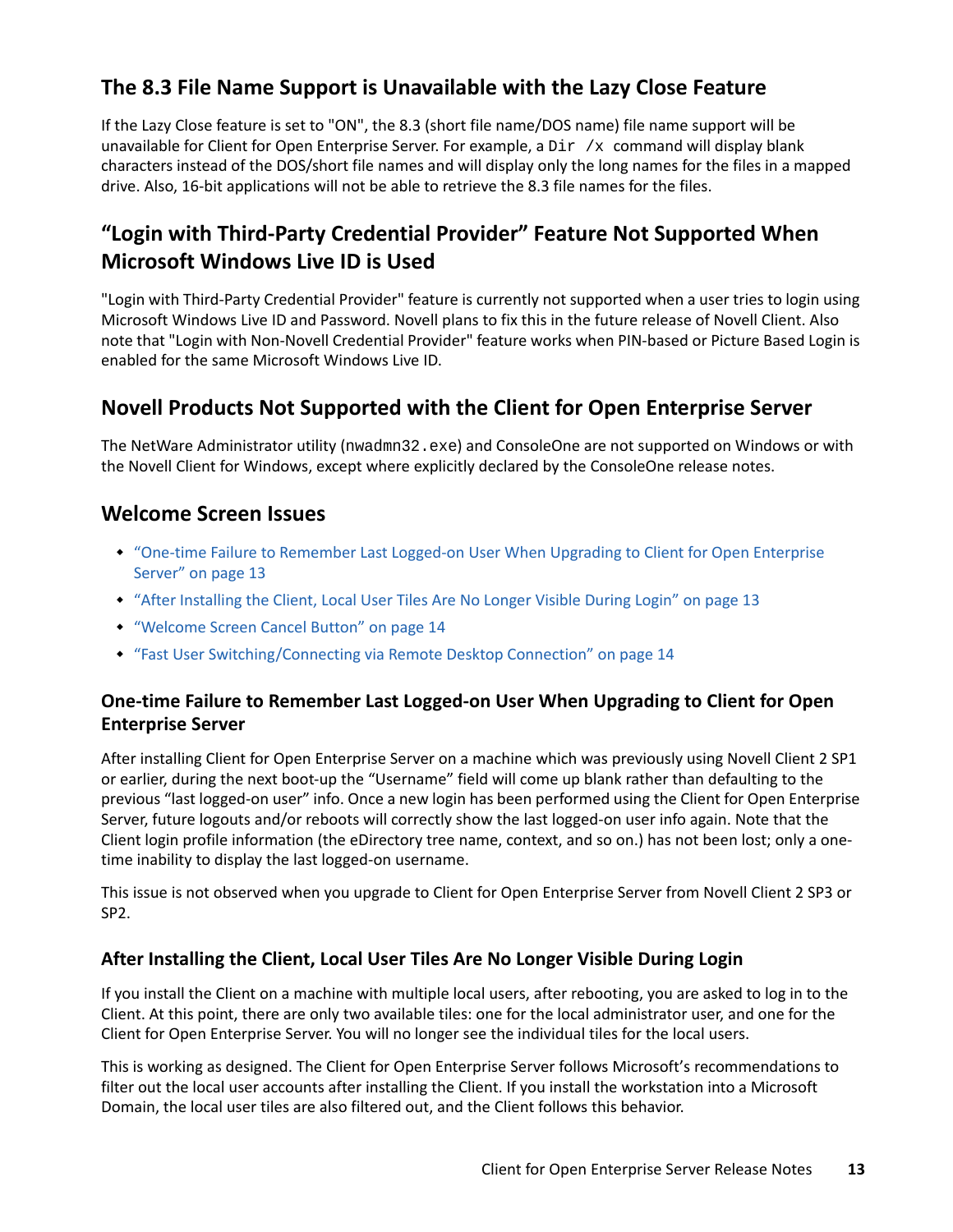### <span id="page-12-0"></span>**The 8.3 File Name Support is Unavailable with the Lazy Close Feature**

If the Lazy Close feature is set to "ON", the 8.3 (short file name/DOS name) file name support will be unavailable for Client for Open Enterprise Server. For example, a  $Dir /x$  command will display blank characters instead of the DOS/short file names and will display only the long names for the files in a mapped drive. Also, 16-bit applications will not be able to retrieve the 8.3 file names for the files.

### <span id="page-12-1"></span>**"Login with Third-Party Credential Provider" Feature Not Supported When Microsoft Windows Live ID is Used**

"Login with Third-Party Credential Provider" feature is currently not supported when a user tries to login using Microsoft Windows Live ID and Password. Novell plans to fix this in the future release of Novell Client. Also note that "Login with Non-Novell Credential Provider" feature works when PIN-based or Picture Based Login is enabled for the same Microsoft Windows Live ID.

#### <span id="page-12-2"></span>**Novell Products Not Supported with the Client for Open Enterprise Server**

The NetWare Administrator utility (nwadmn32.exe) and ConsoleOne are not supported on Windows or with the Novell Client for Windows, except where explicitly declared by the ConsoleOne release notes.

#### <span id="page-12-3"></span>**Welcome Screen Issues**

- ["One-time Failure to Remember Last Logged-on User When Upgrading to Client for Open Enterprise](#page-12-4)  [Server" on page 13](#page-12-4)
- ["After Installing the Client, Local User Tiles Are No Longer Visible During Login" on page 13](#page-12-5)
- ["Welcome Screen Cancel Button" on page 14](#page-13-4)
- ["Fast User Switching/Connecting via Remote Desktop Connection" on page 14](#page-13-5)

#### <span id="page-12-4"></span>**One-time Failure to Remember Last Logged-on User When Upgrading to Client for Open Enterprise Server**

After installing Client for Open Enterprise Server on a machine which was previously using Novell Client 2 SP1 or earlier, during the next boot-up the "Username" field will come up blank rather than defaulting to the previous "last logged-on user" info. Once a new login has been performed using the Client for Open Enterprise Server, future logouts and/or reboots will correctly show the last logged-on user info again. Note that the Client login profile information (the eDirectory tree name, context, and so on.) has not been lost; only a onetime inability to display the last logged-on username.

This issue is not observed when you upgrade to Client for Open Enterprise Server from Novell Client 2 SP3 or SP2.

#### <span id="page-12-5"></span>**After Installing the Client, Local User Tiles Are No Longer Visible During Login**

If you install the Client on a machine with multiple local users, after rebooting, you are asked to log in to the Client. At this point, there are only two available tiles: one for the local administrator user, and one for the Client for Open Enterprise Server. You will no longer see the individual tiles for the local users.

This is working as designed. The Client for Open Enterprise Server follows Microsoft's recommendations to filter out the local user accounts after installing the Client. If you install the workstation into a Microsoft Domain, the local user tiles are also filtered out, and the Client follows this behavior.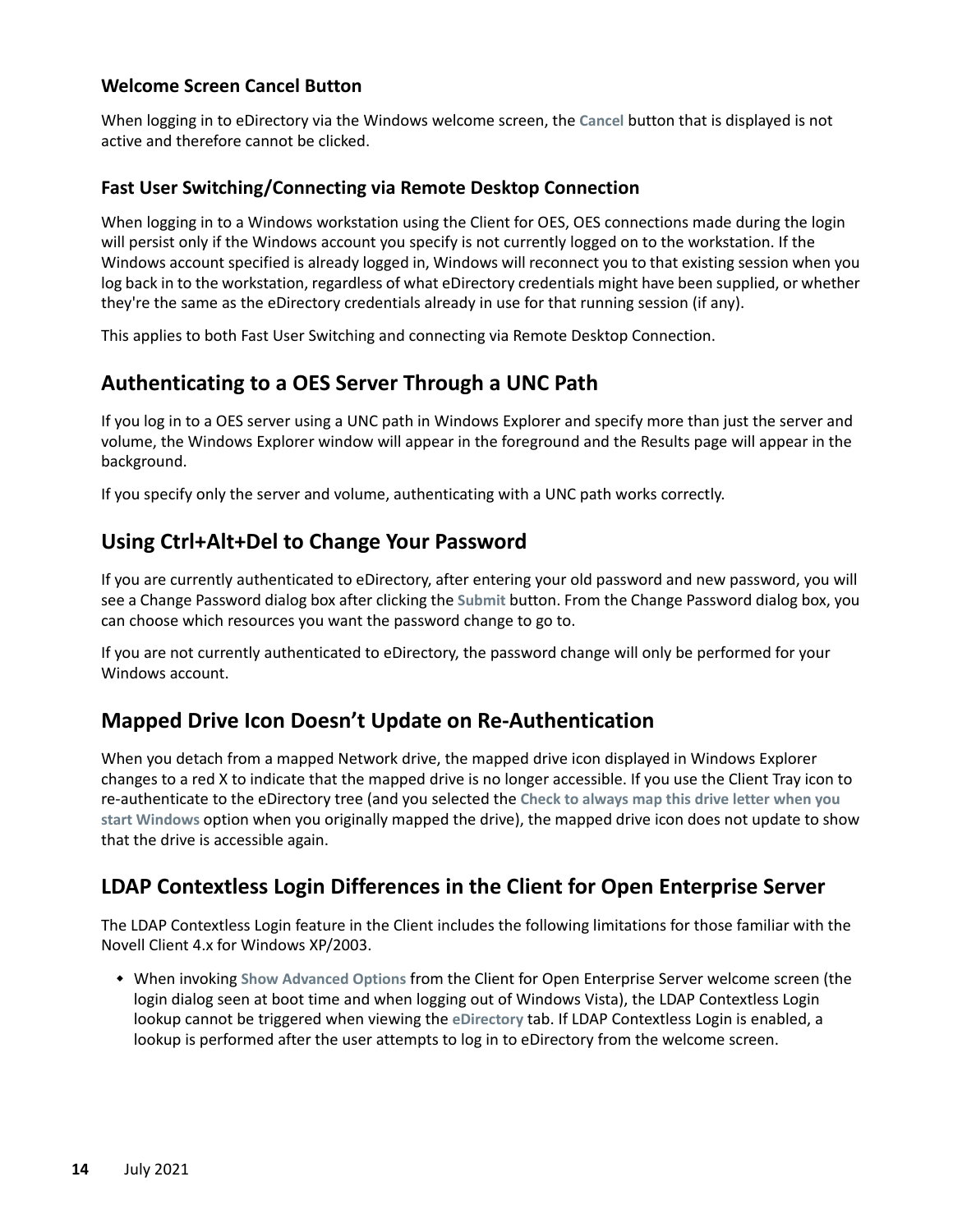#### <span id="page-13-4"></span>**Welcome Screen Cancel Button**

When logging in to eDirectory via the Windows welcome screen, the **Cancel** button that is displayed is not active and therefore cannot be clicked.

#### <span id="page-13-5"></span>**Fast User Switching/Connecting via Remote Desktop Connection**

When logging in to a Windows workstation using the Client for OES, OES connections made during the login will persist only if the Windows account you specify is not currently logged on to the workstation. If the Windows account specified is already logged in, Windows will reconnect you to that existing session when you log back in to the workstation, regardless of what eDirectory credentials might have been supplied, or whether they're the same as the eDirectory credentials already in use for that running session (if any).

This applies to both Fast User Switching and connecting via Remote Desktop Connection.

### <span id="page-13-0"></span>**Authenticating to a OES Server Through a UNC Path**

If you log in to a OES server using a UNC path in Windows Explorer and specify more than just the server and volume, the Windows Explorer window will appear in the foreground and the Results page will appear in the background.

If you specify only the server and volume, authenticating with a UNC path works correctly.

#### <span id="page-13-1"></span>**Using Ctrl+Alt+Del to Change Your Password**

If you are currently authenticated to eDirectory, after entering your old password and new password, you will see a Change Password dialog box after clicking the **Submit** button. From the Change Password dialog box, you can choose which resources you want the password change to go to.

If you are not currently authenticated to eDirectory, the password change will only be performed for your Windows account.

#### <span id="page-13-2"></span>**Mapped Drive Icon Doesn't Update on Re-Authentication**

When you detach from a mapped Network drive, the mapped drive icon displayed in Windows Explorer changes to a red X to indicate that the mapped drive is no longer accessible. If you use the Client Tray icon to re-authenticate to the eDirectory tree (and you selected the **Check to always map this drive letter when you start Windows** option when you originally mapped the drive), the mapped drive icon does not update to show that the drive is accessible again.

#### <span id="page-13-3"></span>**LDAP Contextless Login Differences in the Client for Open Enterprise Server**

The LDAP Contextless Login feature in the Client includes the following limitations for those familiar with the Novell Client 4.x for Windows XP/2003.

 When invoking **Show Advanced Options** from the Client for Open Enterprise Server welcome screen (the login dialog seen at boot time and when logging out of Windows Vista), the LDAP Contextless Login lookup cannot be triggered when viewing the **eDirectory** tab. If LDAP Contextless Login is enabled, a lookup is performed after the user attempts to log in to eDirectory from the welcome screen.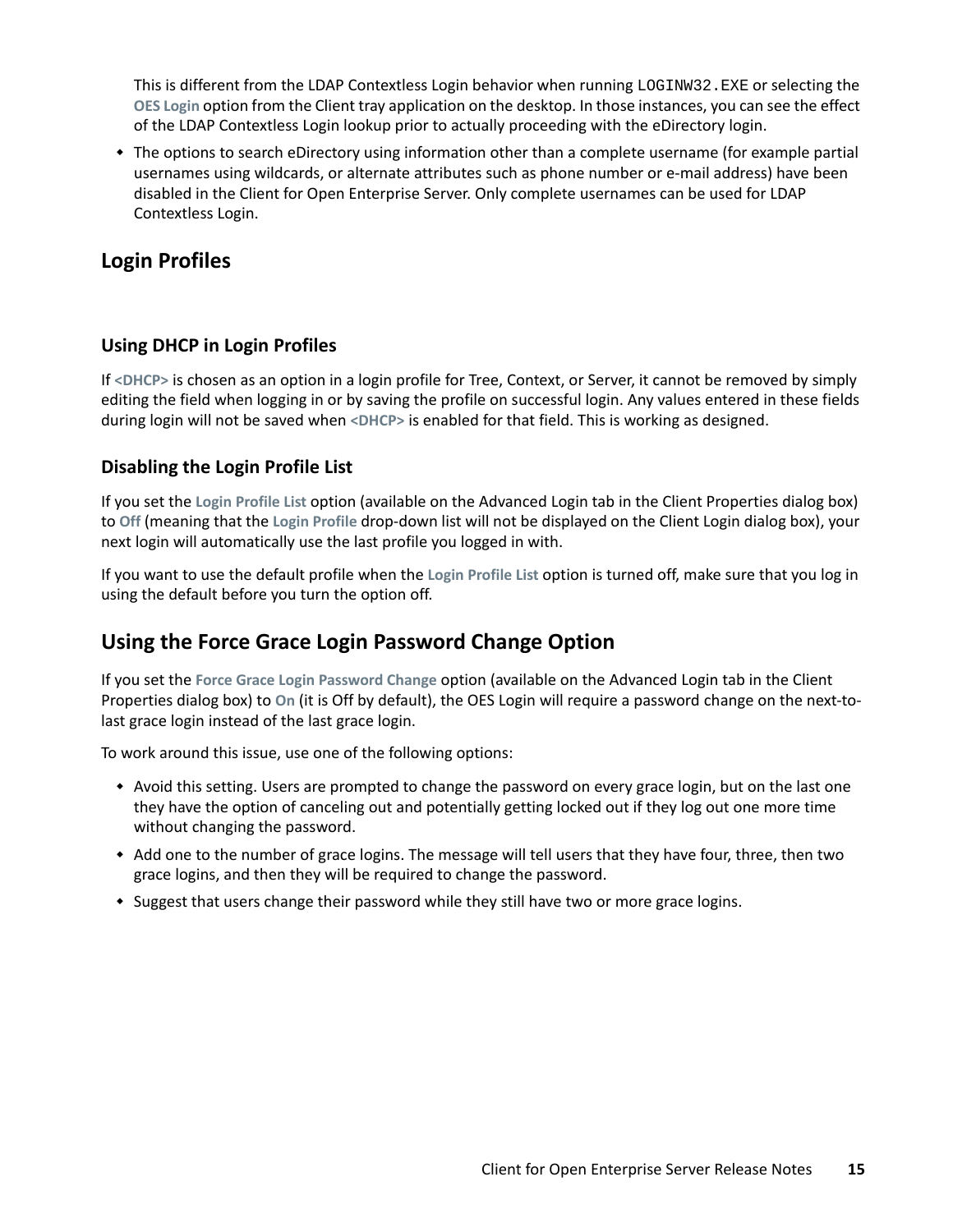This is different from the LDAP Contextless Login behavior when running LOGINW32.EXE or selecting the **OES Login** option from the Client tray application on the desktop. In those instances, you can see the effect of the LDAP Contextless Login lookup prior to actually proceeding with the eDirectory login.

 The options to search eDirectory using information other than a complete username (for example partial usernames using wildcards, or alternate attributes such as phone number or e-mail address) have been disabled in the Client for Open Enterprise Server. Only complete usernames can be used for LDAP Contextless Login.

#### <span id="page-14-0"></span>**Login Profiles**

#### **Using DHCP in Login Profiles**

If **<DHCP>** is chosen as an option in a login profile for Tree, Context, or Server, it cannot be removed by simply editing the field when logging in or by saving the profile on successful login. Any values entered in these fields during login will not be saved when **<DHCP>** is enabled for that field. This is working as designed.

#### **Disabling the Login Profile List**

If you set the **Login Profile List** option (available on the Advanced Login tab in the Client Properties dialog box) to **Off** (meaning that the **Login Profile** drop-down list will not be displayed on the Client Login dialog box), your next login will automatically use the last profile you logged in with.

If you want to use the default profile when the **Login Profile List** option is turned off, make sure that you log in using the default before you turn the option off.

#### <span id="page-14-1"></span>**Using the Force Grace Login Password Change Option**

If you set the **Force Grace Login Password Change** option (available on the Advanced Login tab in the Client Properties dialog box) to **On** (it is Off by default), the OES Login will require a password change on the next-tolast grace login instead of the last grace login.

To work around this issue, use one of the following options:

- Avoid this setting. Users are prompted to change the password on every grace login, but on the last one they have the option of canceling out and potentially getting locked out if they log out one more time without changing the password.
- \* Add one to the number of grace logins. The message will tell users that they have four, three, then two grace logins, and then they will be required to change the password.
- Suggest that users change their password while they still have two or more grace logins.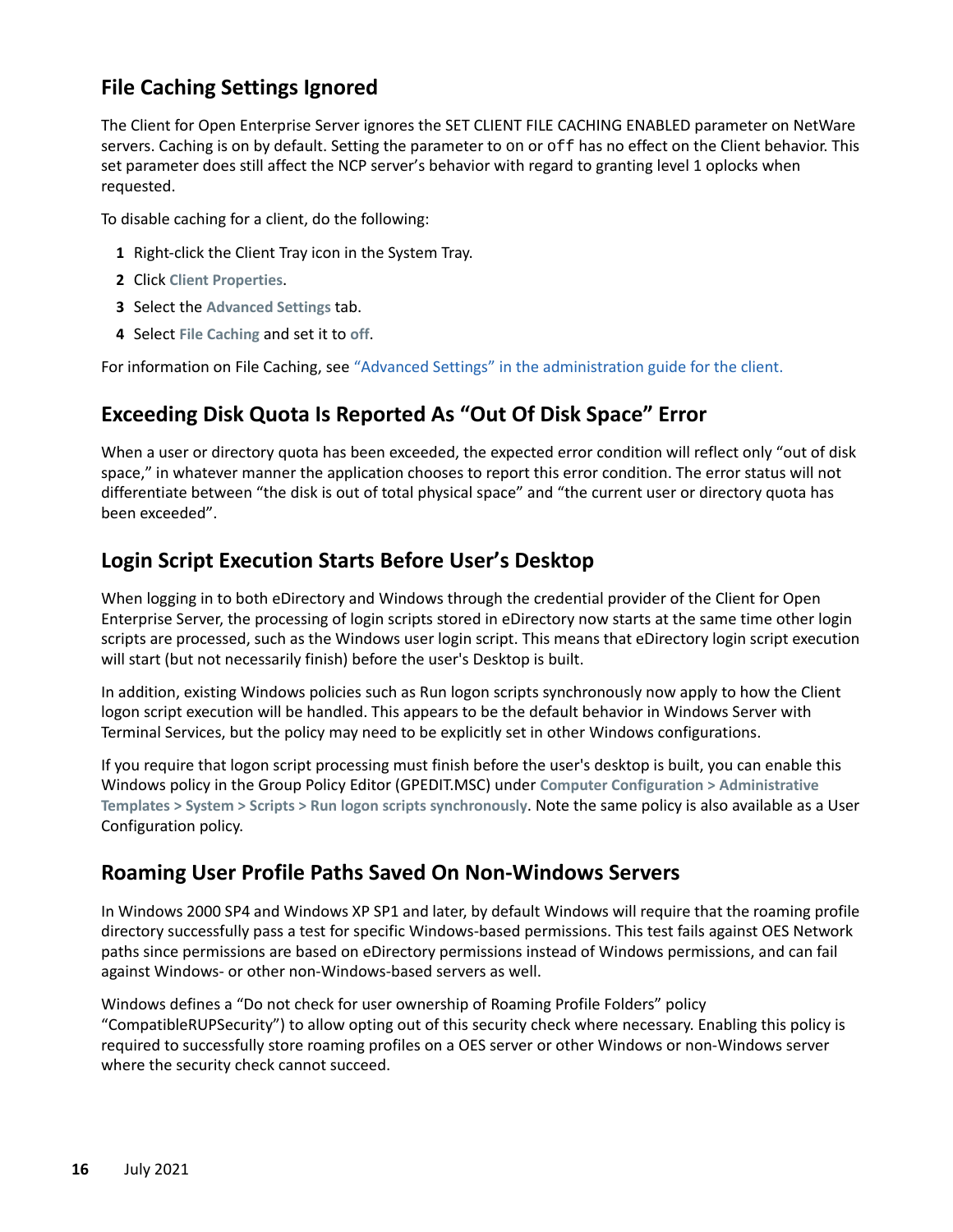#### <span id="page-15-0"></span>**File Caching Settings Ignored**

The Client for Open Enterprise Server ignores the SET CLIENT FILE CACHING ENABLED parameter on NetWare servers. Caching is on by default. Setting the parameter to on or off has no effect on the Client behavior. This set parameter does still affect the NCP server's behavior with regard to granting level 1 oplocks when requested.

To disable caching for a client, do the following:

- **1** Right-click the Client Tray icon in the System Tray.
- **2** Click **Client Properties**.
- **3** Select the **Advanced Settings** tab.
- **4** Select **File Caching** and set it to **off**.

For information on File Caching, see ["Advanced Settings" in the administration guide for the client.](https://www.microfocus.com/documentation/client-for-open-enterprise-server/2-sp6/windows_client_admin/a3llvcg.html#b856y7h)

#### <span id="page-15-1"></span>**Exceeding Disk Quota Is Reported As "Out Of Disk Space" Error**

When a user or directory quota has been exceeded, the expected error condition will reflect only "out of disk space," in whatever manner the application chooses to report this error condition. The error status will not differentiate between "the disk is out of total physical space" and "the current user or directory quota has been exceeded".

#### <span id="page-15-2"></span>**Login Script Execution Starts Before User's Desktop**

When logging in to both eDirectory and Windows through the credential provider of the Client for Open Enterprise Server, the processing of login scripts stored in eDirectory now starts at the same time other login scripts are processed, such as the Windows user login script. This means that eDirectory login script execution will start (but not necessarily finish) before the user's Desktop is built.

In addition, existing Windows policies such as Run logon scripts synchronously now apply to how the Client logon script execution will be handled. This appears to be the default behavior in Windows Server with Terminal Services, but the policy may need to be explicitly set in other Windows configurations.

If you require that logon script processing must finish before the user's desktop is built, you can enable this Windows policy in the Group Policy Editor (GPEDIT.MSC) under **Computer Configuration > Administrative Templates > System > Scripts > Run logon scripts synchronously**. Note the same policy is also available as a User Configuration policy.

#### <span id="page-15-3"></span>**Roaming User Profile Paths Saved On Non-Windows Servers**

In Windows 2000 SP4 and Windows XP SP1 and later, by default Windows will require that the roaming profile directory successfully pass a test for specific Windows-based permissions. This test fails against OES Network paths since permissions are based on eDirectory permissions instead of Windows permissions, and can fail against Windows- or other non-Windows-based servers as well.

Windows defines a "Do not check for user ownership of Roaming Profile Folders" policy "CompatibleRUPSecurity") to allow opting out of this security check where necessary. Enabling this policy is required to successfully store roaming profiles on a OES server or other Windows or non-Windows server where the security check cannot succeed.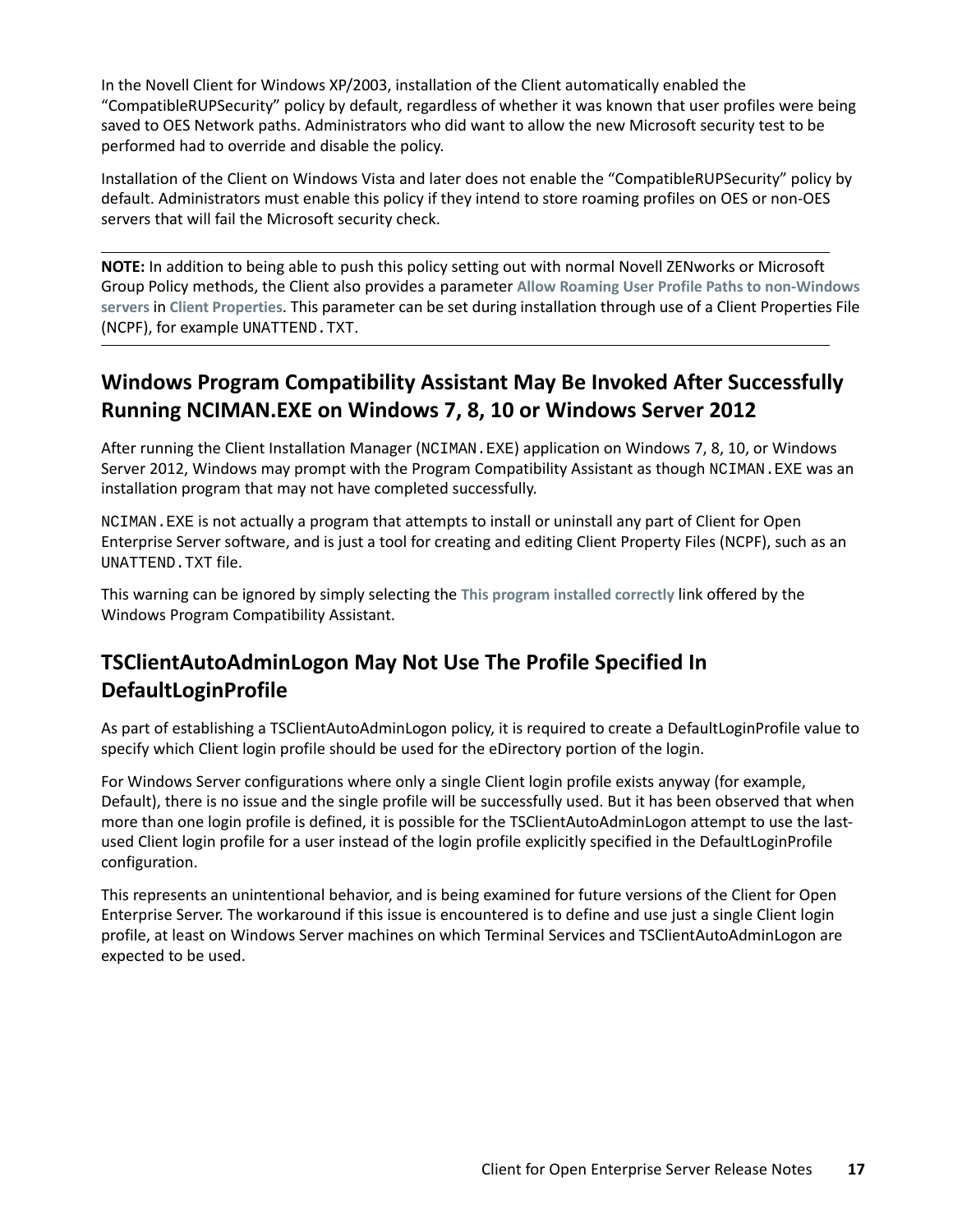In the Novell Client for Windows XP/2003, installation of the Client automatically enabled the "CompatibleRUPSecurity" policy by default, regardless of whether it was known that user profiles were being saved to OES Network paths. Administrators who did want to allow the new Microsoft security test to be performed had to override and disable the policy.

Installation of the Client on Windows Vista and later does not enable the "CompatibleRUPSecurity" policy by default. Administrators must enable this policy if they intend to store roaming profiles on OES or non-OES servers that will fail the Microsoft security check.

**NOTE:** In addition to being able to push this policy setting out with normal Novell ZENworks or Microsoft Group Policy methods, the Client also provides a parameter **Allow Roaming User Profile Paths to non-Windows servers** in **Client Properties**. This parameter can be set during installation through use of a Client Properties File (NCPF), for example UNATTEND.TXT.

### <span id="page-16-0"></span>**Windows Program Compatibility Assistant May Be Invoked After Successfully Running NCIMAN.EXE on Windows 7, 8, 10 or Windows Server 2012**

After running the Client Installation Manager (NCIMAN.EXE) application on Windows 7, 8, 10, or Windows Server 2012, Windows may prompt with the Program Compatibility Assistant as though NCIMAN. EXE was an installation program that may not have completed successfully.

NCIMAN.EXE is not actually a program that attempts to install or uninstall any part of Client for Open Enterprise Server software, and is just a tool for creating and editing Client Property Files (NCPF), such as an UNATTEND.TXT file.

This warning can be ignored by simply selecting the **This program installed correctly** link offered by the Windows Program Compatibility Assistant.

### <span id="page-16-1"></span>**TSClientAutoAdminLogon May Not Use The Profile Specified In DefaultLoginProfile**

As part of establishing a TSClientAutoAdminLogon policy, it is required to create a DefaultLoginProfile value to specify which Client login profile should be used for the eDirectory portion of the login.

For Windows Server configurations where only a single Client login profile exists anyway (for example, Default), there is no issue and the single profile will be successfully used. But it has been observed that when more than one login profile is defined, it is possible for the TSClientAutoAdminLogon attempt to use the lastused Client login profile for a user instead of the login profile explicitly specified in the DefaultLoginProfile configuration.

This represents an unintentional behavior, and is being examined for future versions of the Client for Open Enterprise Server. The workaround if this issue is encountered is to define and use just a single Client login profile, at least on Windows Server machines on which Terminal Services and TSClientAutoAdminLogon are expected to be used.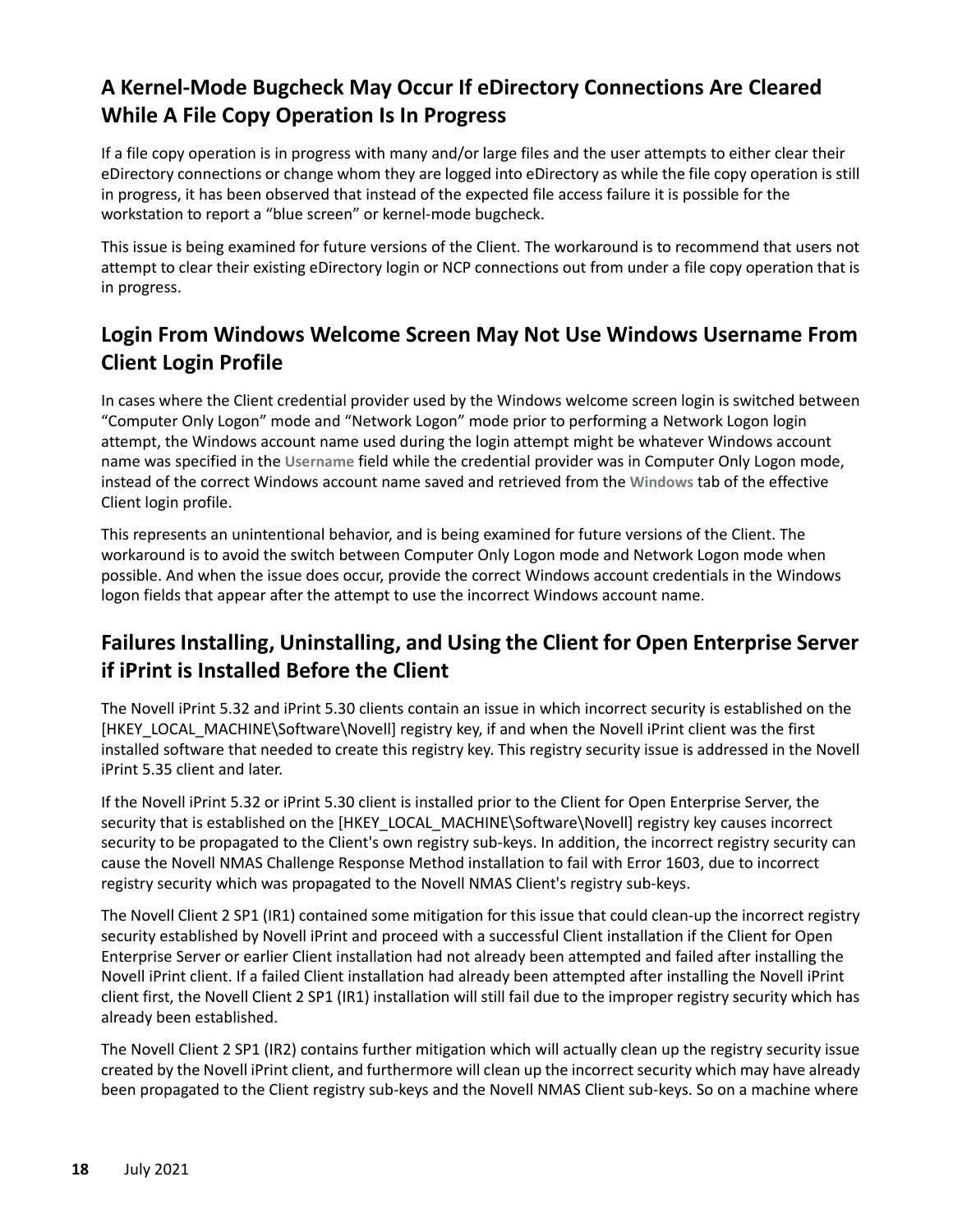### <span id="page-17-0"></span>**A Kernel-Mode Bugcheck May Occur If eDirectory Connections Are Cleared While A File Copy Operation Is In Progress**

If a file copy operation is in progress with many and/or large files and the user attempts to either clear their eDirectory connections or change whom they are logged into eDirectory as while the file copy operation is still in progress, it has been observed that instead of the expected file access failure it is possible for the workstation to report a "blue screen" or kernel-mode bugcheck.

This issue is being examined for future versions of the Client. The workaround is to recommend that users not attempt to clear their existing eDirectory login or NCP connections out from under a file copy operation that is in progress.

### <span id="page-17-1"></span>**Login From Windows Welcome Screen May Not Use Windows Username From Client Login Profile**

In cases where the Client credential provider used by the Windows welcome screen login is switched between "Computer Only Logon" mode and "Network Logon" mode prior to performing a Network Logon login attempt, the Windows account name used during the login attempt might be whatever Windows account name was specified in the **Username** field while the credential provider was in Computer Only Logon mode, instead of the correct Windows account name saved and retrieved from the **Windows** tab of the effective Client login profile.

This represents an unintentional behavior, and is being examined for future versions of the Client. The workaround is to avoid the switch between Computer Only Logon mode and Network Logon mode when possible. And when the issue does occur, provide the correct Windows account credentials in the Windows logon fields that appear after the attempt to use the incorrect Windows account name.

### <span id="page-17-2"></span>**Failures Installing, Uninstalling, and Using the Client for Open Enterprise Server if iPrint is Installed Before the Client**

The Novell iPrint 5.32 and iPrint 5.30 clients contain an issue in which incorrect security is established on the [HKEY\_LOCAL\_MACHINE\Software\Novell] registry key, if and when the Novell iPrint client was the first installed software that needed to create this registry key. This registry security issue is addressed in the Novell iPrint 5.35 client and later.

If the Novell iPrint 5.32 or iPrint 5.30 client is installed prior to the Client for Open Enterprise Server, the security that is established on the [HKEY\_LOCAL\_MACHINE\Software\Novell] registry key causes incorrect security to be propagated to the Client's own registry sub-keys. In addition, the incorrect registry security can cause the Novell NMAS Challenge Response Method installation to fail with Error 1603, due to incorrect registry security which was propagated to the Novell NMAS Client's registry sub-keys.

The Novell Client 2 SP1 (IR1) contained some mitigation for this issue that could clean-up the incorrect registry security established by Novell iPrint and proceed with a successful Client installation if the Client for Open Enterprise Server or earlier Client installation had not already been attempted and failed after installing the Novell iPrint client. If a failed Client installation had already been attempted after installing the Novell iPrint client first, the Novell Client 2 SP1 (IR1) installation will still fail due to the improper registry security which has already been established.

The Novell Client 2 SP1 (IR2) contains further mitigation which will actually clean up the registry security issue created by the Novell iPrint client, and furthermore will clean up the incorrect security which may have already been propagated to the Client registry sub-keys and the Novell NMAS Client sub-keys. So on a machine where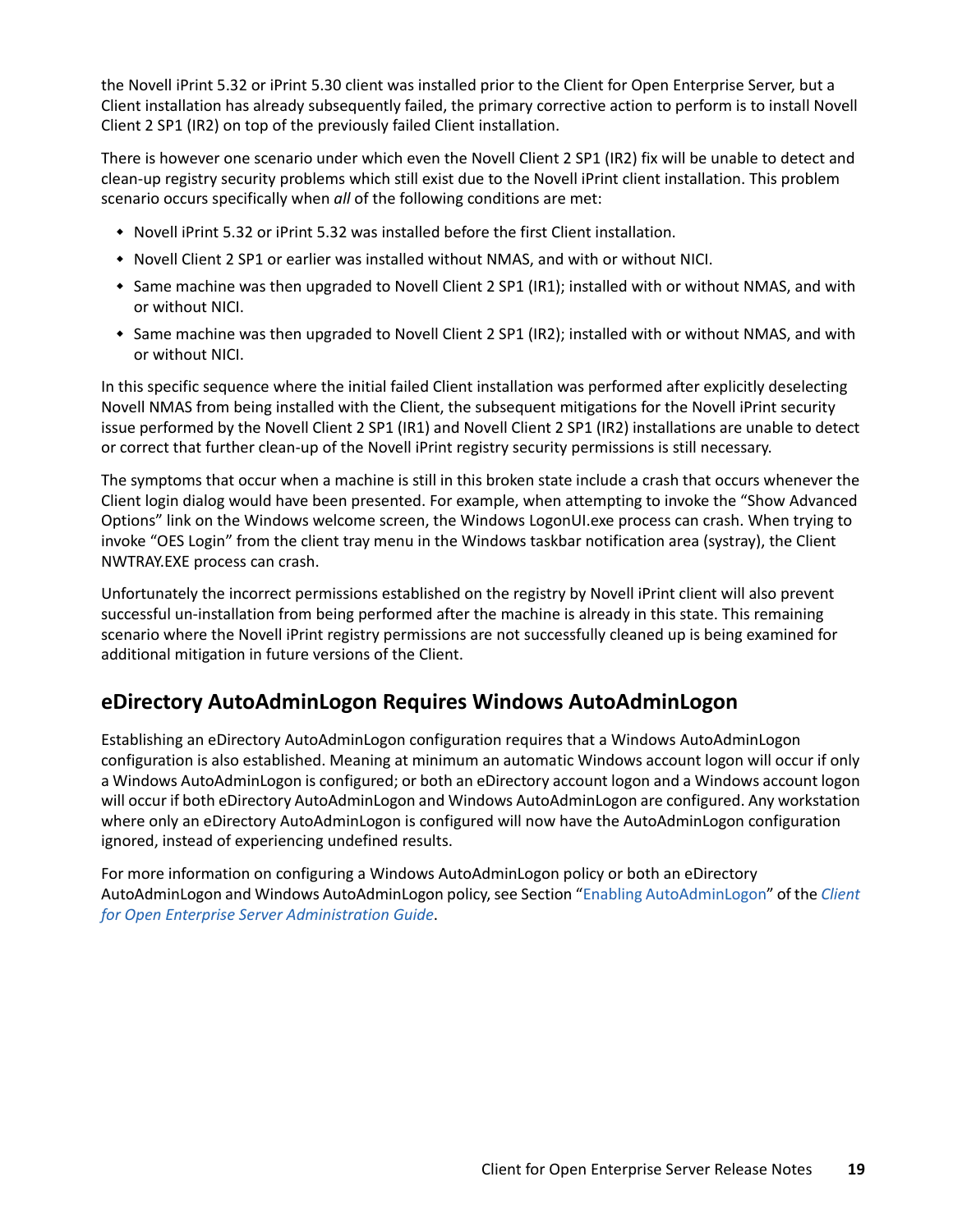the Novell iPrint 5.32 or iPrint 5.30 client was installed prior to the Client for Open Enterprise Server, but a Client installation has already subsequently failed, the primary corrective action to perform is to install Novell Client 2 SP1 (IR2) on top of the previously failed Client installation.

There is however one scenario under which even the Novell Client 2 SP1 (IR2) fix will be unable to detect and clean-up registry security problems which still exist due to the Novell iPrint client installation. This problem scenario occurs specifically when *all* of the following conditions are met:

- Novell iPrint 5.32 or iPrint 5.32 was installed before the first Client installation.
- \* Novell Client 2 SP1 or earlier was installed without NMAS, and with or without NICI.
- Same machine was then upgraded to Novell Client 2 SP1 (IR1); installed with or without NMAS, and with or without NICI.
- Same machine was then upgraded to Novell Client 2 SP1 (IR2); installed with or without NMAS, and with or without NICI.

In this specific sequence where the initial failed Client installation was performed after explicitly deselecting Novell NMAS from being installed with the Client, the subsequent mitigations for the Novell iPrint security issue performed by the Novell Client 2 SP1 (IR1) and Novell Client 2 SP1 (IR2) installations are unable to detect or correct that further clean-up of the Novell iPrint registry security permissions is still necessary.

The symptoms that occur when a machine is still in this broken state include a crash that occurs whenever the Client login dialog would have been presented. For example, when attempting to invoke the "Show Advanced Options" link on the Windows welcome screen, the Windows LogonUI.exe process can crash. When trying to invoke "OES Login" from the client tray menu in the Windows taskbar notification area (systray), the Client NWTRAY.EXE process can crash.

Unfortunately the incorrect permissions established on the registry by Novell iPrint client will also prevent successful un-installation from being performed after the machine is already in this state. This remaining scenario where the Novell iPrint registry permissions are not successfully cleaned up is being examined for additional mitigation in future versions of the Client.

#### <span id="page-18-0"></span>**eDirectory AutoAdminLogon Requires Windows AutoAdminLogon**

Establishing an eDirectory AutoAdminLogon configuration requires that a Windows AutoAdminLogon configuration is also established. Meaning at minimum an automatic Windows account logon will occur if only a Windows AutoAdminLogon is configured; or both an eDirectory account logon and a Windows account logon will occur if both eDirectory AutoAdminLogon and Windows AutoAdminLogon are configured. Any workstation where only an eDirectory AutoAdminLogon is configured will now have the AutoAdminLogon configuration ignored, instead of experiencing undefined results.

For more information on configuring a Windows AutoAdminLogon policy or both an eDirectory AutoAdminLogon and Windows AutoAdminLogon policy, see Section "[Enabling AutoAdminLogon"](https://www.microfocus.com/documentation/client-for-open-enterprise-server/sp6/pdfdoc/windows_client_admin/windows_client_admin.pdf#barbsml) of the *[Client](https://www.microfocus.com/documentation/client-for-open-enterprise-server/sp6/pdfdoc/windows_client_admin/windows_client_admin.pdf#H4rudg93)  [for Open Enterprise Server Administration Guide](https://www.microfocus.com/documentation/client-for-open-enterprise-server/sp6/pdfdoc/windows_client_admin/windows_client_admin.pdf#H4rudg93)*.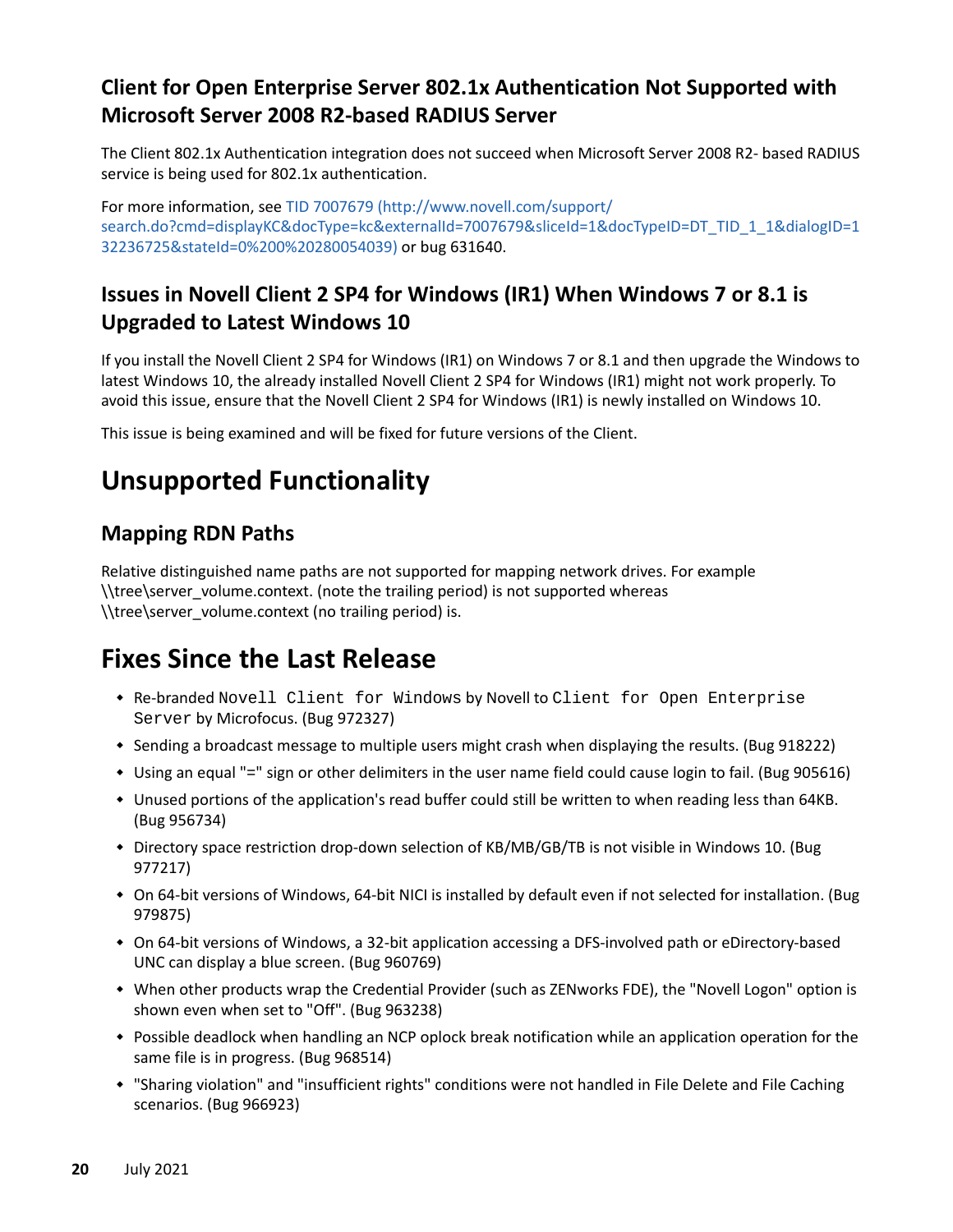### <span id="page-19-0"></span>**Client for Open Enterprise Server 802.1x Authentication Not Supported with Microsoft Server 2008 R2-based RADIUS Server**

The Client 802.1x Authentication integration does not succeed when Microsoft Server 2008 R2- based RADIUS service is being used for 802.1x authentication.

For more information, see [TID 7007679](http://www.novell.com/support/search.do?cmd=displayKC&docType=kc&externalId=7007679&sliceId=1&docTypeID=DT_TID_1_1&dialogID=132236725&stateId=0%200%20280054039) (http://www.novell.com/support/ search.do?cmd=displayKC&docType=kc&externalId=7007679&sliceId=1&docTypeID=DT\_TID\_1\_1&dialogID=1 32236725&stateId=0%200%20280054039) or bug 631640.

### <span id="page-19-1"></span>**Issues in Novell Client 2 SP4 for Windows (IR1) When Windows 7 or 8.1 is Upgraded to Latest Windows 10**

If you install the Novell Client 2 SP4 for Windows (IR1) on Windows 7 or 8.1 and then upgrade the Windows to latest Windows 10, the already installed Novell Client 2 SP4 for Windows (IR1) might not work properly. To avoid this issue, ensure that the Novell Client 2 SP4 for Windows (IR1) is newly installed on Windows 10.

This issue is being examined and will be fixed for future versions of the Client.

# **Unsupported Functionality**

### **Mapping RDN Paths**

Relative distinguished name paths are not supported for mapping network drives. For example \\tree\server\_volume.context. (note the trailing period) is not supported whereas \\tree\server\_volume.context (no trailing period) is.

# **Fixes Since the Last Release**

- Re-branded Novell Client for Windows by Novell to Client for Open Enterprise Server by Microfocus. (Bug 972327)
- Sending a broadcast message to multiple users might crash when displaying the results. (Bug 918222)
- Using an equal "=" sign or other delimiters in the user name field could cause login to fail. (Bug 905616)
- Unused portions of the application's read buffer could still be written to when reading less than 64KB. (Bug 956734)
- Directory space restriction drop-down selection of KB/MB/GB/TB is not visible in Windows 10. (Bug 977217)
- On 64-bit versions of Windows, 64-bit NICI is installed by default even if not selected for installation. (Bug 979875)
- On 64-bit versions of Windows, a 32-bit application accessing a DFS-involved path or eDirectory-based UNC can display a blue screen. (Bug 960769)
- When other products wrap the Credential Provider (such as ZENworks FDE), the "Novell Logon" option is shown even when set to "Off". (Bug 963238)
- Possible deadlock when handling an NCP oplock break notification while an application operation for the same file is in progress. (Bug 968514)
- "Sharing violation" and "insufficient rights" conditions were not handled in File Delete and File Caching scenarios. (Bug 966923)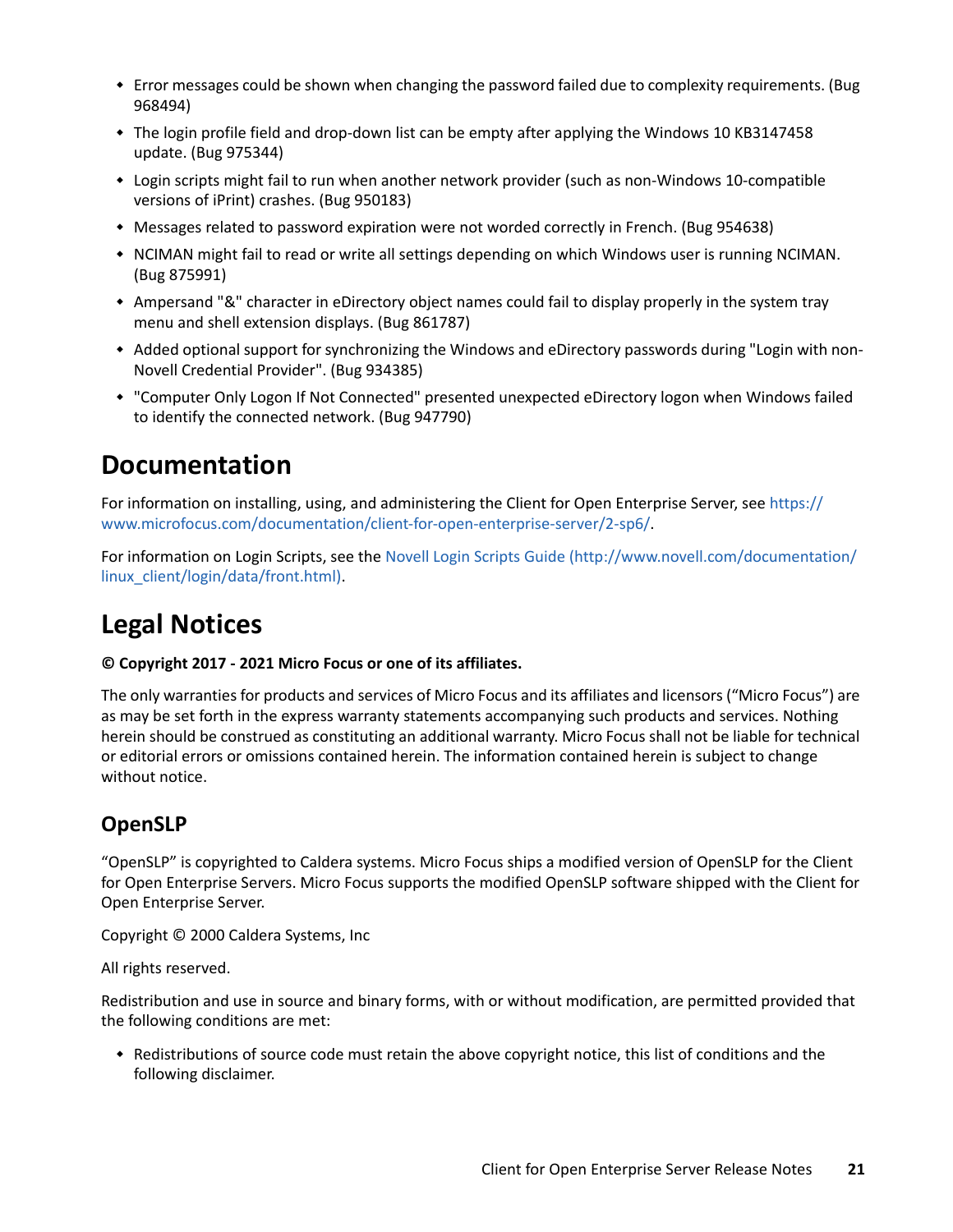- Error messages could be shown when changing the password failed due to complexity requirements. (Bug 968494)
- The login profile field and drop-down list can be empty after applying the Windows 10 KB3147458 update. (Bug 975344)
- Login scripts might fail to run when another network provider (such as non-Windows 10-compatible versions of iPrint) crashes. (Bug 950183)
- Messages related to password expiration were not worded correctly in French. (Bug 954638)
- \* NCIMAN might fail to read or write all settings depending on which Windows user is running NCIMAN. (Bug 875991)
- Ampersand "&" character in eDirectory object names could fail to display properly in the system tray menu and shell extension displays. (Bug 861787)
- Added optional support for synchronizing the Windows and eDirectory passwords during "Login with non-Novell Credential Provider". (Bug 934385)
- "Computer Only Logon If Not Connected" presented unexpected eDirectory logon when Windows failed to identify the connected network. (Bug 947790)

## **Documentation**

For information on installing, using, and administering the Client for Open Enterprise Server, see [https://](https://www.microfocus.com/documentation/client-for-open-enterprise-server/2-sp6/) [www.microfocus.com/documentation/client-for-open-enterprise-server/2-sp6/.](https://www.microfocus.com/documentation/client-for-open-enterprise-server/2-sp6/)

For information on Login Scripts, see the [Novell Login Scripts Guide](http://www.novell.com/documentation/linux_client/login/data/front.html) (http://www.novell.com/documentation/ linux\_client/login/data/front.html).

# **Legal Notices**

#### **© Copyright 2017 - 2021 Micro Focus or one of its affiliates.**

The only warranties for products and services of Micro Focus and its affiliates and licensors ("Micro Focus") are as may be set forth in the express warranty statements accompanying such products and services. Nothing herein should be construed as constituting an additional warranty. Micro Focus shall not be liable for technical or editorial errors or omissions contained herein. The information contained herein is subject to change without notice.

### **OpenSLP**

"OpenSLP" is copyrighted to Caldera systems. Micro Focus ships a modified version of OpenSLP for the Client for Open Enterprise Servers. Micro Focus supports the modified OpenSLP software shipped with the Client for Open Enterprise Server.

Copyright © 2000 Caldera Systems, Inc

All rights reserved.

Redistribution and use in source and binary forms, with or without modification, are permitted provided that the following conditions are met:

 Redistributions of source code must retain the above copyright notice, this list of conditions and the following disclaimer.